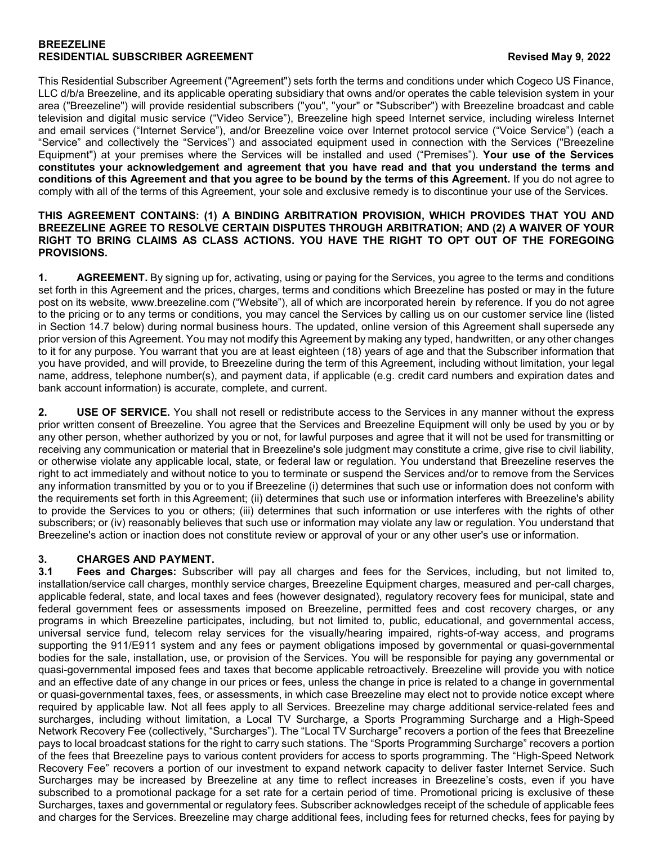#### **BREEZELINE RESIDENTIAL SUBSCRIBER AGREEMENT Revised May 9, 2022**

This Residential Subscriber Agreement ("Agreement") sets forth the terms and conditions under which Cogeco US Finance, LLC d/b/a Breezeline, and its applicable operating subsidiary that owns and/or operates the cable television system in your area ("Breezeline") will provide residential subscribers ("you", "your" or "Subscriber") with Breezeline broadcast and cable television and digital music service ("Video Service"), Breezeline high speed Internet service, including wireless Internet and email services ("Internet Service"), and/or Breezeline voice over Internet protocol service ("Voice Service") (each a "Service" and collectively the "Services") and associated equipment used in connection with the Services ("Breezeline Equipment") at your premises where the Services will be installed and used ("Premises"). **Your use of the Services constitutes your acknowledgement and agreement that you have read and that you understand the terms and conditions of this Agreement and that you agree to be bound by the terms of this Agreement.** If you do not agree to comply with all of the terms of this Agreement, your sole and exclusive remedy is to discontinue your use of the Services.

#### **THIS AGREEMENT CONTAINS: (1) A BINDING ARBITRATION PROVISION, WHICH PROVIDES THAT YOU AND BREEZELINE AGREE TO RESOLVE CERTAIN DISPUTES THROUGH ARBITRATION; AND (2) A WAIVER OF YOUR RIGHT TO BRING CLAIMS AS CLASS ACTIONS. YOU HAVE THE RIGHT TO OPT OUT OF THE FOREGOING PROVISIONS.**

**1. AGREEMENT.** By signing up for, activating, using or paying for the Services, you agree to the terms and conditions set forth in this Agreement and the prices, charges, terms and conditions which Breezeline has posted or may in the future post on its website, [www.breezeline.com](http://www.atlanticbb.com/) ("Website"), all of which are incorporated herein by reference. If you do not agree to the pricing or to any terms or conditions, you may cancel the Services by calling us on our customer service line (listed in Section 14.7 below) during normal business hours. The updated, online version of this Agreement shall supersede any prior version of this Agreement. You may not modify this Agreement by making any typed, handwritten, or any other changes to it for any purpose. You warrant that you are at least eighteen (18) years of age and that the Subscriber information that you have provided, and will provide, to Breezeline during the term of this Agreement, including without limitation, your legal name, address, telephone number(s), and payment data, if applicable (e.g. credit card numbers and expiration dates and bank account information) is accurate, complete, and current.

**2. USE OF SERVICE.** You shall not resell or redistribute access to the Services in any manner without the express prior written consent of Breezeline. You agree that the Services and Breezeline Equipment will only be used by you or by any other person, whether authorized by you or not, for lawful purposes and agree that it will not be used for transmitting or receiving any communication or material that in Breezeline's sole judgment may constitute a crime, give rise to civil liability, or otherwise violate any applicable local, state, or federal law or regulation. You understand that Breezeline reserves the right to act immediately and without notice to you to terminate or suspend the Services and/or to remove from the Services any information transmitted by you or to you if Breezeline (i) determines that such use or information does not conform with the requirements set forth in this Agreement; (ii) determines that such use or information interferes with Breezeline's ability to provide the Services to you or others; (iii) determines that such information or use interferes with the rights of other subscribers; or (iv) reasonably believes that such use or information may violate any law or regulation. You understand that Breezeline's action or inaction does not constitute review or approval of your or any other user's use or information.

### **3. CHARGES AND PAYMENT.**

**3.1 Fees and Charges:** Subscriber will pay all charges and fees for the Services, including, but not limited to, installation/service call charges, monthly service charges, Breezeline Equipment charges, measured and per-call charges, applicable federal, state, and local taxes and fees (however designated), regulatory recovery fees for municipal, state and federal government fees or assessments imposed on Breezeline, permitted fees and cost recovery charges, or any programs in which Breezeline participates, including, but not limited to, public, educational, and governmental access, universal service fund, telecom relay services for the visually/hearing impaired, rights-of-way access, and programs supporting the 911/E911 system and any fees or payment obligations imposed by governmental or quasi-governmental bodies for the sale, installation, use, or provision of the Services. You will be responsible for paying any governmental or quasi-governmental imposed fees and taxes that become applicable retroactively. Breezeline will provide you with notice and an effective date of any change in our prices or fees, unless the change in price is related to a change in governmental or quasi-governmental taxes, fees, or assessments, in which case Breezeline may elect not to provide notice except where required by applicable law. Not all fees apply to all Services. Breezeline may charge additional service-related fees and surcharges, including without limitation, a Local TV Surcharge, a Sports Programming Surcharge and a High-Speed Network Recovery Fee (collectively, "Surcharges"). The "Local TV Surcharge" recovers a portion of the fees that Breezeline pays to local broadcast stations for the right to carry such stations. The "Sports Programming Surcharge" recovers a portion of the fees that Breezeline pays to various content providers for access to sports programming. The "High-Speed Network Recovery Fee" recovers a portion of our investment to expand network capacity to deliver faster Internet Service. Such Surcharges may be increased by Breezeline at any time to reflect increases in Breezeline's costs, even if you have subscribed to a promotional package for a set rate for a certain period of time. Promotional pricing is exclusive of these Surcharges, taxes and governmental or regulatory fees. Subscriber acknowledges receipt of the schedule of applicable fees and charges for the Services. Breezeline may charge additional fees, including fees for returned checks, fees for paying by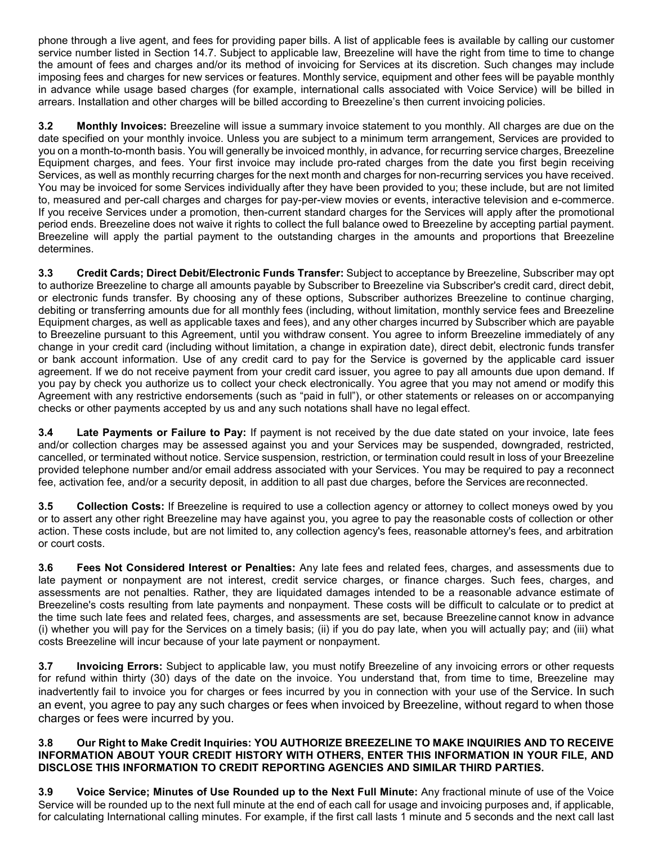phone through a live agent, and fees for providing paper bills. A list of applicable fees is available by calling our customer service number listed in Section 14.7. Subject to applicable law, Breezeline will have the right from time to time to change the amount of fees and charges and/or its method of invoicing for Services at its discretion. Such changes may include imposing fees and charges for new services or features. Monthly service, equipment and other fees will be payable monthly in advance while usage based charges (for example, international calls associated with Voice Service) will be billed in arrears. Installation and other charges will be billed according to Breezeline's then current invoicing policies.

**3.2 Monthly Invoices:** Breezeline will issue a summary invoice statement to you monthly. All charges are due on the date specified on your monthly invoice. Unless you are subject to a minimum term arrangement, Services are provided to you on a month-to-month basis. You will generally be invoiced monthly, in advance, for recurring service charges, Breezeline Equipment charges, and fees. Your first invoice may include pro-rated charges from the date you first begin receiving Services, as well as monthly recurring charges for the next month and charges for non-recurring services you have received. You may be invoiced for some Services individually after they have been provided to you; these include, but are not limited to, measured and per-call charges and charges for pay-per-view movies or events, interactive television and e-commerce. If you receive Services under a promotion, then-current standard charges for the Services will apply after the promotional period ends. Breezeline does not waive it rights to collect the full balance owed to Breezeline by accepting partial payment. Breezeline will apply the partial payment to the outstanding charges in the amounts and proportions that Breezeline determines.

**3.3 Credit Cards; Direct Debit/Electronic Funds Transfer:** Subject to acceptance by Breezeline, Subscriber may opt to authorize Breezeline to charge all amounts payable by Subscriber to Breezeline via Subscriber's credit card, direct debit, or electronic funds transfer. By choosing any of these options, Subscriber authorizes Breezeline to continue charging, debiting or transferring amounts due for all monthly fees (including, without limitation, monthly service fees and Breezeline Equipment charges, as well as applicable taxes and fees), and any other charges incurred by Subscriber which are payable to Breezeline pursuant to this Agreement, until you withdraw consent. You agree to inform Breezeline immediately of any change in your credit card (including without limitation, a change in expiration date), direct debit, electronic funds transfer or bank account information. Use of any credit card to pay for the Service is governed by the applicable card issuer agreement. If we do not receive payment from your credit card issuer, you agree to pay all amounts due upon demand. If you pay by check you authorize us to collect your check electronically. You agree that you may not amend or modify this Agreement with any restrictive endorsements (such as "paid in full"), or other statements or releases on or accompanying checks or other payments accepted by us and any such notations shall have no legal effect.

**3.4 Late Payments or Failure to Pay:** If payment is not received by the due date stated on your invoice, late fees and/or collection charges may be assessed against you and your Services may be suspended, downgraded, restricted, cancelled, or terminated without notice. Service suspension, restriction, or termination could result in loss of your Breezeline provided telephone number and/or email address associated with your Services. You may be required to pay a reconnect fee, activation fee, and/or a security deposit, in addition to all past due charges, before the Services are reconnected.

**3.5 Collection Costs:** If Breezeline is required to use a collection agency or attorney to collect moneys owed by you or to assert any other right Breezeline may have against you, you agree to pay the reasonable costs of collection or other action. These costs include, but are not limited to, any collection agency's fees, reasonable attorney's fees, and arbitration or court costs.

**3.6 Fees Not Considered Interest or Penalties:** Any late fees and related fees, charges, and assessments due to late payment or nonpayment are not interest, credit service charges, or finance charges. Such fees, charges, and assessments are not penalties. Rather, they are liquidated damages intended to be a reasonable advance estimate of Breezeline's costs resulting from late payments and nonpayment. These costs will be difficult to calculate or to predict at the time such late fees and related fees, charges, and assessments are set, because Breezeline cannot know in advance (i) whether you will pay for the Services on a timely basis; (ii) if you do pay late, when you will actually pay; and (iii) what costs Breezeline will incur because of your late payment or nonpayment.

**3.7 Invoicing Errors:** Subject to applicable law, you must notify Breezeline of any invoicing errors or other requests for refund within thirty (30) days of the date on the invoice. You understand that, from time to time, Breezeline may inadvertently fail to invoice you for charges or fees incurred by you in connection with your use of the Service. In such an event, you agree to pay any such charges or fees when invoiced by Breezeline, without regard to when those charges or fees were incurred by you.

### **3.8 Our Right to Make Credit Inquiries: YOU AUTHORIZE BREEZELINE TO MAKE INQUIRIES AND TO RECEIVE INFORMATION ABOUT YOUR CREDIT HISTORY WITH OTHERS, ENTER THIS INFORMATION IN YOUR FILE, AND DISCLOSE THIS INFORMATION TO CREDIT REPORTING AGENCIES AND SIMILAR THIRD PARTIES.**

**3.9 Voice Service; Minutes of Use Rounded up to the Next Full Minute:** Any fractional minute of use of the Voice Service will be rounded up to the next full minute at the end of each call for usage and invoicing purposes and, if applicable, for calculating International calling minutes. For example, if the first call lasts 1 minute and 5 seconds and the next call last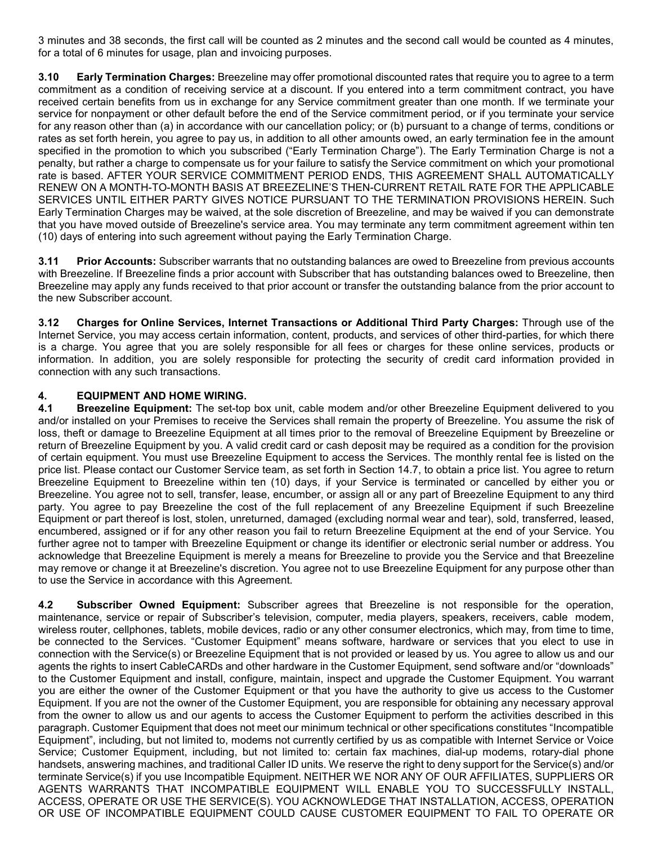3 minutes and 38 seconds, the first call will be counted as 2 minutes and the second call would be counted as 4 minutes, for a total of 6 minutes for usage, plan and invoicing purposes.

**3.10 Early Termination Charges:** Breezeline may offer promotional discounted rates that require you to agree to a term commitment as a condition of receiving service at a discount. If you entered into a term commitment contract, you have received certain benefits from us in exchange for any Service commitment greater than one month. If we terminate your service for nonpayment or other default before the end of the Service commitment period, or if you terminate your service for any reason other than (a) in accordance with our cancellation policy; or (b) pursuant to a change of terms, conditions or rates as set forth herein, you agree to pay us, in addition to all other amounts owed, an early termination fee in the amount specified in the promotion to which you subscribed ("Early Termination Charge"). The Early Termination Charge is not a penalty, but rather a charge to compensate us for your failure to satisfy the Service commitment on which your promotional rate is based. AFTER YOUR SERVICE COMMITMENT PERIOD ENDS, THIS AGREEMENT SHALL AUTOMATICALLY RENEW ON A MONTH-TO-MONTH BASIS AT BREEZELINE'S THEN-CURRENT RETAIL RATE FOR THE APPLICABLE SERVICES UNTIL EITHER PARTY GIVES NOTICE PURSUANT TO THE TERMINATION PROVISIONS HEREIN. Such Early Termination Charges may be waived, at the sole discretion of Breezeline, and may be waived if you can demonstrate that you have moved outside of Breezeline's service area. You may terminate any term commitment agreement within ten (10) days of entering into such agreement without paying the Early Termination Charge.

**3.11 Prior Accounts:** Subscriber warrants that no outstanding balances are owed to Breezeline from previous accounts with Breezeline. If Breezeline finds a prior account with Subscriber that has outstanding balances owed to Breezeline, then Breezeline may apply any funds received to that prior account or transfer the outstanding balance from the prior account to the new Subscriber account.

**3.12 Charges for Online Services, Internet Transactions or Additional Third Party Charges:** Through use of the Internet Service, you may access certain information, content, products, and services of other third-parties, for which there is a charge. You agree that you are solely responsible for all fees or charges for these online services, products or information. In addition, you are solely responsible for protecting the security of credit card information provided in connection with any such transactions.

# **4. EQUIPMENT AND HOME WIRING.**

**4.1 Breezeline Equipment:** The set-top box unit, cable modem and/or other Breezeline Equipment delivered to you and/or installed on your Premises to receive the Services shall remain the property of Breezeline. You assume the risk of loss, theft or damage to Breezeline Equipment at all times prior to the removal of Breezeline Equipment by Breezeline or return of Breezeline Equipment by you. A valid credit card or cash deposit may be required as a condition for the provision of certain equipment. You must use Breezeline Equipment to access the Services. The monthly rental fee is listed on the price list. Please contact our Customer Service team, as set forth in Section 14.7, to obtain a price list. You agree to return Breezeline Equipment to Breezeline within ten (10) days, if your Service is terminated or cancelled by either you or Breezeline. You agree not to sell, transfer, lease, encumber, or assign all or any part of Breezeline Equipment to any third party. You agree to pay Breezeline the cost of the full replacement of any Breezeline Equipment if such Breezeline Equipment or part thereof is lost, stolen, unreturned, damaged (excluding normal wear and tear), sold, transferred, leased, encumbered, assigned or if for any other reason you fail to return Breezeline Equipment at the end of your Service. You further agree not to tamper with Breezeline Equipment or change its identifier or electronic serial number or address. You acknowledge that Breezeline Equipment is merely a means for Breezeline to provide you the Service and that Breezeline may remove or change it at Breezeline's discretion. You agree not to use Breezeline Equipment for any purpose other than to use the Service in accordance with this Agreement.

**4.2 Subscriber Owned Equipment:** Subscriber agrees that Breezeline is not responsible for the operation, maintenance, service or repair of Subscriber's television, computer, media players, speakers, receivers, cable modem, wireless router, cellphones, tablets, mobile devices, radio or any other consumer electronics, which may, from time to time, be connected to the Services. "Customer Equipment" means software, hardware or services that you elect to use in connection with the Service(s) or Breezeline Equipment that is not provided or leased by us. You agree to allow us and our agents the rights to insert CableCARDs and other hardware in the Customer Equipment, send software and/or "downloads" to the Customer Equipment and install, configure, maintain, inspect and upgrade the Customer Equipment. You warrant you are either the owner of the Customer Equipment or that you have the authority to give us access to the Customer Equipment. If you are not the owner of the Customer Equipment, you are responsible for obtaining any necessary approval from the owner to allow us and our agents to access the Customer Equipment to perform the activities described in this paragraph. Customer Equipment that does not meet our minimum technical or other specifications constitutes "Incompatible Equipment", including, but not limited to, modems not currently certified by us as compatible with Internet Service or Voice Service; Customer Equipment, including, but not limited to: certain fax machines, dial-up modems, rotary-dial phone handsets, answering machines, and traditional Caller ID units. We reserve the right to deny support for the Service(s) and/or terminate Service(s) if you use Incompatible Equipment. NEITHER WE NOR ANY OF OUR AFFILIATES, SUPPLIERS OR AGENTS WARRANTS THAT INCOMPATIBLE EQUIPMENT WILL ENABLE YOU TO SUCCESSFULLY INSTALL, ACCESS, OPERATE OR USE THE SERVICE(S). YOU ACKNOWLEDGE THAT INSTALLATION, ACCESS, OPERATION OR USE OF INCOMPATIBLE EQUIPMENT COULD CAUSE CUSTOMER EQUIPMENT TO FAIL TO OPERATE OR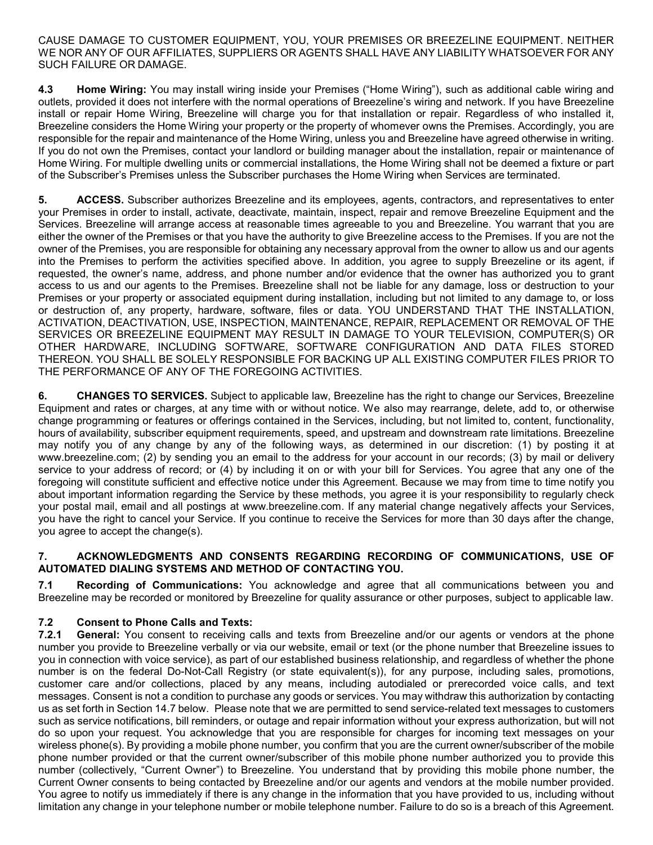CAUSE DAMAGE TO CUSTOMER EQUIPMENT, YOU, YOUR PREMISES OR BREEZELINE EQUIPMENT. NEITHER WE NOR ANY OF OUR AFFILIATES, SUPPLIERS OR AGENTS SHALL HAVE ANY LIABILITY WHATSOEVER FOR ANY SUCH FAILURE OR DAMAGE.

**4.3 Home Wiring:** You may install wiring inside your Premises ("Home Wiring"), such as additional cable wiring and outlets, provided it does not interfere with the normal operations of Breezeline's wiring and network. If you have Breezeline install or repair Home Wiring, Breezeline will charge you for that installation or repair. Regardless of who installed it, Breezeline considers the Home Wiring your property or the property of whomever owns the Premises. Accordingly, you are responsible for the repair and maintenance of the Home Wiring, unless you and Breezeline have agreed otherwise in writing. If you do not own the Premises, contact your landlord or building manager about the installation, repair or maintenance of Home Wiring. For multiple dwelling units or commercial installations, the Home Wiring shall not be deemed a fixture or part of the Subscriber's Premises unless the Subscriber purchases the Home Wiring when Services are terminated.

**5. ACCESS.** Subscriber authorizes Breezeline and its employees, agents, contractors, and representatives to enter your Premises in order to install, activate, deactivate, maintain, inspect, repair and remove Breezeline Equipment and the Services. Breezeline will arrange access at reasonable times agreeable to you and Breezeline. You warrant that you are either the owner of the Premises or that you have the authority to give Breezeline access to the Premises. If you are not the owner of the Premises, you are responsible for obtaining any necessary approval from the owner to allow us and our agents into the Premises to perform the activities specified above. In addition, you agree to supply Breezeline or its agent, if requested, the owner's name, address, and phone number and/or evidence that the owner has authorized you to grant access to us and our agents to the Premises. Breezeline shall not be liable for any damage, loss or destruction to your Premises or your property or associated equipment during installation, including but not limited to any damage to, or loss or destruction of, any property, hardware, software, files or data. YOU UNDERSTAND THAT THE INSTALLATION, ACTIVATION, DEACTIVATION, USE, INSPECTION, MAINTENANCE, REPAIR, REPLACEMENT OR REMOVAL OF THE SERVICES OR BREEZELINE EQUIPMENT MAY RESULT IN DAMAGE TO YOUR TELEVISION, COMPUTER(S) OR OTHER HARDWARE, INCLUDING SOFTWARE, SOFTWARE CONFIGURATION AND DATA FILES STORED THEREON. YOU SHALL BE SOLELY RESPONSIBLE FOR BACKING UP ALL EXISTING COMPUTER FILES PRIOR TO THE PERFORMANCE OF ANY OF THE FOREGOING ACTIVITIES.

**6. CHANGES TO SERVICES.** Subject to applicable law, Breezeline has the right to change our Services, Breezeline Equipment and rates or charges, at any time with or without notice. We also may rearrange, delete, add to, or otherwise change programming or features or offerings contained in the Services, including, but not limited to, content, functionality, hours of availability, subscriber equipment requirements, speed, and upstream and downstream rate limitations. Breezeline may notify you of any change by any of the following ways, as determined in our discretion: (1) by posting it at www.breezeline.com; (2) by sending you an email to the address for your account in our records; (3) by mail or delivery service to your address of record; or (4) by including it on or with your bill for Services. You agree that any one of the foregoing will constitute sufficient and effective notice under this Agreement. Because we may from time to time notify you about important information regarding the Service by these methods, you agree it is your responsibility to regularly check your postal mail, email and all postings at [www.breezeline.com. I](http://www.atlanticbb.com/)f any material change negatively affects your Services, you have the right to cancel your Service. If you continue to receive the Services for more than 30 days after the change, you agree to accept the change(s).

### **7. ACKNOWLEDGMENTS AND CONSENTS REGARDING RECORDING OF COMMUNICATIONS, USE OF AUTOMATED DIALING SYSTEMS AND METHOD OF CONTACTING YOU.**

**7.1 Recording of Communications:** You acknowledge and agree that all communications between you and Breezeline may be recorded or monitored by Breezeline for quality assurance or other purposes, subject to applicable law.

# **7.2 Consent to Phone Calls and Texts:**

General: You consent to receiving calls and texts from Breezeline and/or our agents or vendors at the phone number you provide to Breezeline verbally or via our website, email or text (or the phone number that Breezeline issues to you in connection with voice service), as part of our established business relationship, and regardless of whether the phone number is on the federal Do-Not-Call Registry (or state equivalent(s)), for any purpose, including sales, promotions, customer care and/or collections, placed by any means, including autodialed or prerecorded voice calls, and text messages. Consent is not a condition to purchase any goods or services. You may withdraw this authorization by contacting us as set forth in Section 14.7 below. Please note that we are permitted to send service-related text messages to customers such as service notifications, bill reminders, or outage and repair information without your express authorization, but will not do so upon your request. You acknowledge that you are responsible for charges for incoming text messages on your wireless phone(s). By providing a mobile phone number, you confirm that you are the current owner/subscriber of the mobile phone number provided or that the current owner/subscriber of this mobile phone number authorized you to provide this number (collectively, "Current Owner") to Breezeline. You understand that by providing this mobile phone number, the Current Owner consents to being contacted by Breezeline and/or our agents and vendors at the mobile number provided. You agree to notify us immediately if there is any change in the information that you have provided to us, including without limitation any change in your telephone number or mobile telephone number. Failure to do so is a breach of this Agreement.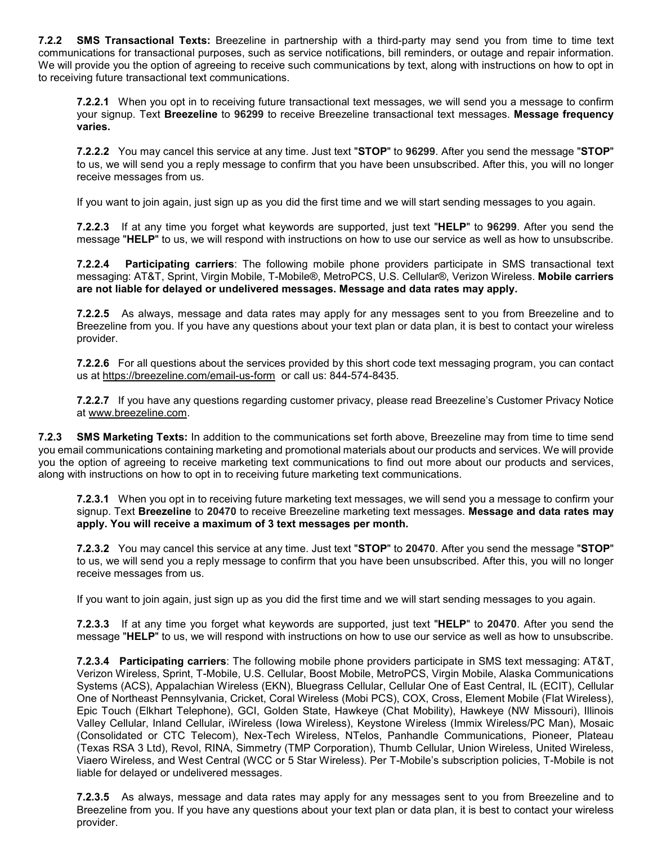**7.2.2 SMS Transactional Texts:** Breezeline in partnership with a third-party may send you from time to time text communications for transactional purposes, such as service notifications, bill reminders, or outage and repair information. We will provide you the option of agreeing to receive such communications by text, along with instructions on how to opt in to receiving future transactional text communications.

**7.2.2.1** When you opt in to receiving future transactional text messages, we will send you a message to confirm your signup. Text **Breezeline** to **96299** to receive Breezeline transactional text messages. **Message frequency varies.**

**7.2.2.2** You may cancel this service at any time. Just text "**STOP**" to **96299**. After you send the message "**STOP**" to us, we will send you a reply message to confirm that you have been unsubscribed. After this, you will no longer receive messages from us.

If you want to join again, just sign up as you did the first time and we will start sending messages to you again.

**7.2.2.3** If at any time you forget what keywords are supported, just text "**HELP**" to **96299**. After you send the message "**HELP**" to us, we will respond with instructions on how to use our service as well as how to unsubscribe.

**7.2.2.4 Participating carriers**: The following mobile phone providers participate in SMS transactional text messaging: AT&T, Sprint, Virgin Mobile, T-Mobile®, MetroPCS, U.S. Cellular®, Verizon Wireless. **Mobile carriers are not liable for delayed or undelivered messages. Message and data rates may apply.**

**7.2.2.5** As always, message and data rates may apply for any messages sent to you from Breezeline and to Breezeline from you. If you have any questions about your text plan or data plan, it is best to contact your wireless provider.

**7.2.2.6** For all questions about the services provided by this short code text messaging program, you can contact us at [https://breezeline.com/email-us-form](https://atlanticbb.com/email-us-form) or call us: 844-574-8435.

**7.2.2.7** If you have any questions regarding customer privacy, please read Breezeline's Customer Privacy Notice at [www.breezeline.com.](http://www.atlanticbb.com/)

**7.2.3 SMS Marketing Texts:** In addition to the communications set forth above, Breezeline may from time to time send you email communications containing marketing and promotional materials about our products and services. We will provide you the option of agreeing to receive marketing text communications to find out more about our products and services, along with instructions on how to opt in to receiving future marketing text communications.

**7.2.3.1** When you opt in to receiving future marketing text messages, we will send you a message to confirm your signup. Text **Breezeline** to **20470** to receive Breezeline marketing text messages. **Message and data rates may apply. You will receive a maximum of 3 text messages per month.** 

**7.2.3.2** You may cancel this service at any time. Just text "**STOP**" to **20470**. After you send the message "**STOP**" to us, we will send you a reply message to confirm that you have been unsubscribed. After this, you will no longer receive messages from us.

If you want to join again, just sign up as you did the first time and we will start sending messages to you again.

**7.2.3.3** If at any time you forget what keywords are supported, just text "**HELP**" to **20470**. After you send the message "**HELP**" to us, we will respond with instructions on how to use our service as well as how to unsubscribe.

**7.2.3.4 Participating carriers**: The following mobile phone providers participate in SMS text messaging: AT&T, Verizon Wireless, Sprint, T-Mobile, U.S. Cellular, Boost Mobile, MetroPCS, Virgin Mobile, Alaska Communications Systems (ACS), Appalachian Wireless (EKN), Bluegrass Cellular, Cellular One of East Central, IL (ECIT), Cellular One of Northeast Pennsylvania, Cricket, Coral Wireless (Mobi PCS), COX, Cross, Element Mobile (Flat Wireless), Epic Touch (Elkhart Telephone), GCI, Golden State, Hawkeye (Chat Mobility), Hawkeye (NW Missouri), Illinois Valley Cellular, Inland Cellular, iWireless (Iowa Wireless), Keystone Wireless (Immix Wireless/PC Man), Mosaic (Consolidated or CTC Telecom), Nex-Tech Wireless, NTelos, Panhandle Communications, Pioneer, Plateau (Texas RSA 3 Ltd), Revol, RINA, Simmetry (TMP Corporation), Thumb Cellular, Union Wireless, United Wireless, Viaero Wireless, and West Central (WCC or 5 Star Wireless). Per T-Mobile's subscription policies, T-Mobile is not liable for delayed or undelivered messages.

**7.2.3.5** As always, message and data rates may apply for any messages sent to you from Breezeline and to Breezeline from you. If you have any questions about your text plan or data plan, it is best to contact your wireless provider.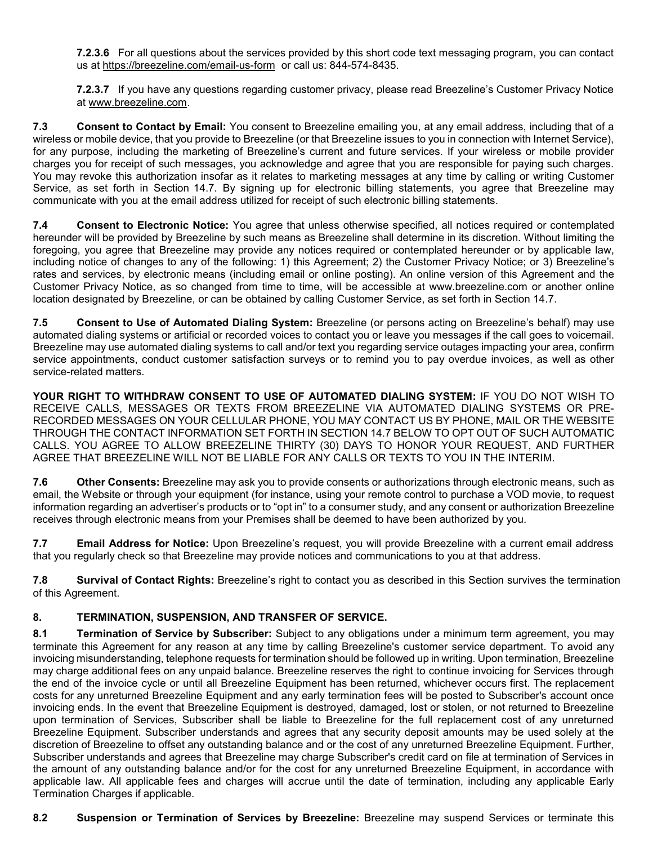**7.2.3.6** For all questions about the services provided by this short code text messaging program, you can contact us at [https://breezeline.com/email-us-form](https://atlanticbb.com/email-us-form) or call us: 844-574-8435.

**7.2.3.7** If you have any questions regarding customer privacy, please read Breezeline's Customer Privacy Notice at [www.breezeline.com.](http://www.atlanticbb.com/)

**7.3 Consent to Contact by Email:** You consent to Breezeline emailing you, at any email address, including that of a wireless or mobile device, that you provide to Breezeline (or that Breezeline issues to you in connection with Internet Service), for any purpose, including the marketing of Breezeline's current and future services. If your wireless or mobile provider charges you for receipt of such messages, you acknowledge and agree that you are responsible for paying such charges. You may revoke this authorization insofar as it relates to marketing messages at any time by calling or writing Customer Service, as set forth in Section 14.7. By signing up for electronic billing statements, you agree that Breezeline may communicate with you at the email address utilized for receipt of such electronic billing statements.

**7.4 Consent to Electronic Notice:** You agree that unless otherwise specified, all notices required or contemplated hereunder will be provided by Breezeline by such means as Breezeline shall determine in its discretion. Without limiting the foregoing, you agree that Breezeline may provide any notices required or contemplated hereunder or by applicable law, including notice of changes to any of the following: 1) this Agreement; 2) the Customer Privacy Notice; or 3) Breezeline's rates and services, by electronic means (including email or online posting). An online version of this Agreement and the Customer Privacy Notice, as so changed from time to time, will be accessible at [www.breezeline.com o](http://www.atlanticbb.com/)r another online location designated by Breezeline, or can be obtained by calling Customer Service, as set forth in Section 14.7.

**7.5 Consent to Use of Automated Dialing System:** Breezeline (or persons acting on Breezeline's behalf) may use automated dialing systems or artificial or recorded voices to contact you or leave you messages if the call goes to voicemail. Breezeline may use automated dialing systems to call and/or text you regarding service outages impacting your area, confirm service appointments, conduct customer satisfaction surveys or to remind you to pay overdue invoices, as well as other service-related matters.

**YOUR RIGHT TO WITHDRAW CONSENT TO USE OF AUTOMATED DIALING SYSTEM:** IF YOU DO NOT WISH TO RECEIVE CALLS, MESSAGES OR TEXTS FROM BREEZELINE VIA AUTOMATED DIALING SYSTEMS OR PRE-RECORDED MESSAGES ON YOUR CELLULAR PHONE, YOU MAY CONTACT US BY PHONE, MAIL OR THE WEBSITE THROUGH THE CONTACT INFORMATION SET FORTH IN SECTION 14.7 BELOW TO OPT OUT OF SUCH AUTOMATIC CALLS. YOU AGREE TO ALLOW BREEZELINE THIRTY (30) DAYS TO HONOR YOUR REQUEST, AND FURTHER AGREE THAT BREEZELINE WILL NOT BE LIABLE FOR ANY CALLS OR TEXTS TO YOU IN THE INTERIM.

**7.6 Other Consents:** Breezeline may ask you to provide consents or authorizations through electronic means, such as email, the Website or through your equipment (for instance, using your remote control to purchase a VOD movie, to request information regarding an advertiser's products or to "opt in" to a consumer study, and any consent or authorization Breezeline receives through electronic means from your Premises shall be deemed to have been authorized by you.

**7.7 Email Address for Notice:** Upon Breezeline's request, you will provide Breezeline with a current email address that you regularly check so that Breezeline may provide notices and communications to you at that address.

**7.8 Survival of Contact Rights:** Breezeline's right to contact you as described in this Section survives the termination of this Agreement.

### **8. TERMINATION, SUSPENSION, AND TRANSFER OF SERVICE.**

**8.1 Termination of Service by Subscriber:** Subject to any obligations under a minimum term agreement, you may terminate this Agreement for any reason at any time by calling Breezeline's customer service department. To avoid any invoicing misunderstanding, telephone requests for termination should be followed up in writing. Upon termination, Breezeline may charge additional fees on any unpaid balance. Breezeline reserves the right to continue invoicing for Services through the end of the invoice cycle or until all Breezeline Equipment has been returned, whichever occurs first. The replacement costs for any unreturned Breezeline Equipment and any early termination fees will be posted to Subscriber's account once invoicing ends. In the event that Breezeline Equipment is destroyed, damaged, lost or stolen, or not returned to Breezeline upon termination of Services, Subscriber shall be liable to Breezeline for the full replacement cost of any unreturned Breezeline Equipment. Subscriber understands and agrees that any security deposit amounts may be used solely at the discretion of Breezeline to offset any outstanding balance and or the cost of any unreturned Breezeline Equipment. Further, Subscriber understands and agrees that Breezeline may charge Subscriber's credit card on file at termination of Services in the amount of any outstanding balance and/or for the cost for any unreturned Breezeline Equipment, in accordance with applicable law. All applicable fees and charges will accrue until the date of termination, including any applicable Early Termination Charges if applicable.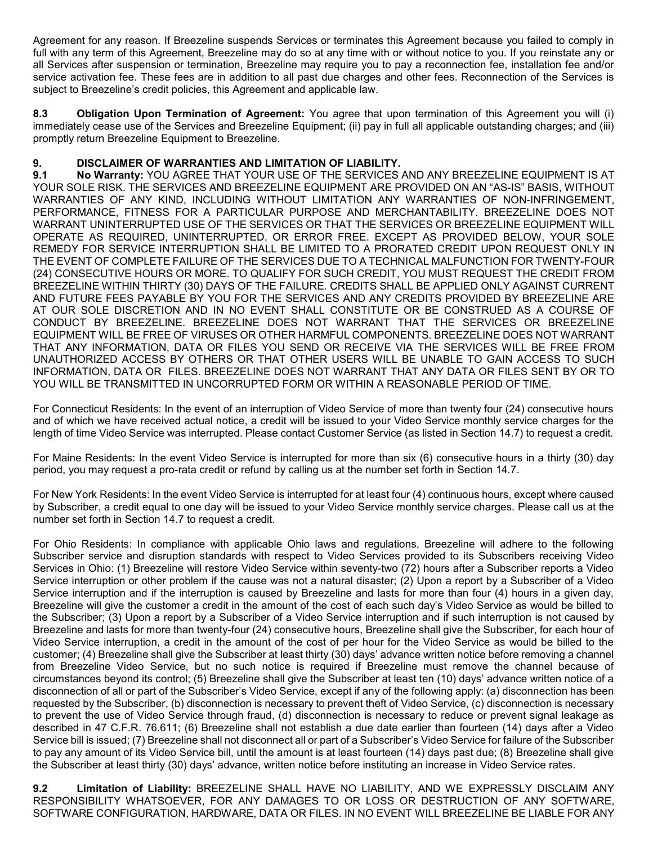Agreement for any reason. If Breezeline suspends Services or terminates this Agreement because you failed to comply in full with any term of this Agreement, Breezeline may do so at any time with or without notice to you. If you reinstate any or all Services after suspension or termination, Breezeline may require you to pay a reconnection fee, installation fee and/or service activation fee. These fees are in addition to all past due charges and other fees. Reconnection of the Services is subject to Breezeline's credit policies, this Agreement and applicable law.

**8.3 Obligation Upon Termination of Agreement:** You agree that upon termination of this Agreement you will (i) immediately cease use of the Services and Breezeline Equipment; (ii) pay in full all applicable outstanding charges; and (iii) promptly return Breezeline Equipment to Breezeline.

# **9. DISCLAIMER OF WARRANTIES AND LIMITATION OF LIABILITY.**

**9.1 No Warranty:** YOU AGREE THAT YOUR USE OF THE SERVICES AND ANY BREEZELINE EQUIPMENT IS AT YOUR SOLE RISK. THE SERVICES AND BREEZELINE EQUIPMENT ARE PROVIDED ON AN "AS-IS" BASIS, WITHOUT WARRANTIES OF ANY KIND, INCLUDING WITHOUT LIMITATION ANY WARRANTIES OF NON-INFRINGEMENT, PERFORMANCE, FITNESS FOR A PARTICULAR PURPOSE AND MERCHANTABILITY. BREEZELINE DOES NOT WARRANT UNINTERRUPTED USE OF THE SERVICES OR THAT THE SERVICES OR BREEZELINE EQUIPMENT WILL OPERATE AS REQUIRED, UNINTERRUPTED, OR ERROR FREE. EXCEPT AS PROVIDED BELOW, YOUR SOLE REMEDY FOR SERVICE INTERRUPTION SHALL BE LIMITED TO A PRORATED CREDIT UPON REQUEST ONLY IN THE EVENT OF COMPLETE FAILURE OF THE SERVICES DUE TO A TECHNICAL MALFUNCTION FOR TWENTY-FOUR (24) CONSECUTIVE HOURS OR MORE. TO QUALIFY FOR SUCH CREDIT, YOU MUST REQUEST THE CREDIT FROM BREEZELINE WITHIN THIRTY (30) DAYS OF THE FAILURE. CREDITS SHALL BE APPLIED ONLY AGAINST CURRENT AND FUTURE FEES PAYABLE BY YOU FOR THE SERVICES AND ANY CREDITS PROVIDED BY BREEZELINE ARE AT OUR SOLE DISCRETION AND IN NO EVENT SHALL CONSTITUTE OR BE CONSTRUED AS A COURSE OF CONDUCT BY BREEZELINE. BREEZELINE DOES NOT WARRANT THAT THE SERVICES OR BREEZELINE EQUIPMENT WILL BE FREE OF VIRUSES OR OTHER HARMFUL COMPONENTS. BREEZELINE DOES NOT WARRANT THAT ANY INFORMATION, DATA OR FILES YOU SEND OR RECEIVE VIA THE SERVICES WILL BE FREE FROM UNAUTHORIZED ACCESS BY OTHERS OR THAT OTHER USERS WILL BE UNABLE TO GAIN ACCESS TO SUCH INFORMATION, DATA OR FILES. BREEZELINE DOES NOT WARRANT THAT ANY DATA OR FILES SENT BY OR TO YOU WILL BE TRANSMITTED IN UNCORRUPTED FORM OR WITHIN A REASONABLE PERIOD OF TIME.

For Connecticut Residents: In the event of an interruption of Video Service of more than twenty four (24) consecutive hours and of which we have received actual notice, a credit will be issued to your Video Service monthly service charges for the length of time Video Service was interrupted. Please contact Customer Service (as listed in Section 14.7) to request a credit.

For Maine Residents: In the event Video Service is interrupted for more than six (6) consecutive hours in a thirty (30) day period, you may request a pro-rata credit or refund by calling us at the number set forth in Section 14.7.

For New York Residents: In the event Video Service is interrupted for at least four (4) continuous hours, except where caused by Subscriber, a credit equal to one day will be issued to your Video Service monthly service charges. Please call us at the number set forth in Section 14.7 to request a credit.

For Ohio Residents: In compliance with applicable Ohio laws and regulations, Breezeline will adhere to the following Subscriber service and disruption standards with respect to Video Services provided to its Subscribers receiving Video Services in Ohio: (1) Breezeline will restore Video Service within seventy-two (72) hours after a Subscriber reports a Video Service interruption or other problem if the cause was not a natural disaster; (2) Upon a report by a Subscriber of a Video Service interruption and if the interruption is caused by Breezeline and lasts for more than four (4) hours in a given day, Breezeline will give the customer a credit in the amount of the cost of each such day's Video Service as would be billed to the Subscriber; (3) Upon a report by a Subscriber of a Video Service interruption and if such interruption is not caused by Breezeline and lasts for more than twenty-four (24) consecutive hours, Breezeline shall give the Subscriber, for each hour of Video Service interruption, a credit in the amount of the cost of per hour for the Video Service as would be billed to the customer; (4) Breezeline shall give the Subscriber at least thirty (30) days' advance written notice before removing a channel from Breezeline Video Service, but no such notice is required if Breezeline must remove the channel because of circumstances beyond its control; (5) Breezeline shall give the Subscriber at least ten (10) days' advance written notice of a disconnection of all or part of the Subscriber's Video Service, except if any of the following apply: (a) disconnection has been requested by the Subscriber, (b) disconnection is necessary to prevent theft of Video Service, (c) disconnection is necessary to prevent the use of Video Service through fraud, (d) disconnection is necessary to reduce or prevent signal leakage as described in 47 C.F.R. 76.611; (6) Breezeline shall not establish a due date earlier than fourteen (14) days after a Video Service bill is issued; (7) Breezeline shall not disconnect all or part of a Subscriber's Video Service for failure of the Subscriber to pay any amount of its Video Service bill, until the amount is at least fourteen (14) days past due; (8) Breezeline shall give the Subscriber at least thirty (30) days' advance, written notice before instituting an increase in Video Service rates.

**9.2 Limitation of Liability:** BREEZELINE SHALL HAVE NO LIABILITY, AND WE EXPRESSLY DISCLAIM ANY RESPONSIBILITY WHATSOEVER, FOR ANY DAMAGES TO OR LOSS OR DESTRUCTION OF ANY SOFTWARE, SOFTWARE CONFIGURATION, HARDWARE, DATA OR FILES. IN NO EVENT WILL BREEZELINE BE LIABLE FOR ANY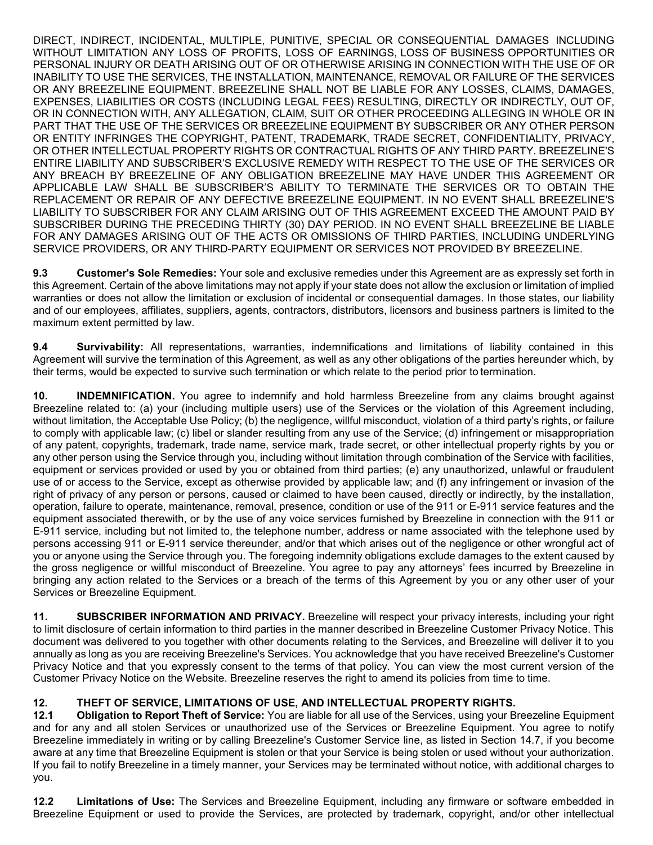DIRECT, INDIRECT, INCIDENTAL, MULTIPLE, PUNITIVE, SPECIAL OR CONSEQUENTIAL DAMAGES INCLUDING WITHOUT LIMITATION ANY LOSS OF PROFITS, LOSS OF EARNINGS, LOSS OF BUSINESS OPPORTUNITIES OR PERSONAL INJURY OR DEATH ARISING OUT OF OR OTHERWISE ARISING IN CONNECTION WITH THE USE OF OR INABILITY TO USE THE SERVICES, THE INSTALLATION, MAINTENANCE, REMOVAL OR FAILURE OF THE SERVICES OR ANY BREEZELINE EQUIPMENT. BREEZELINE SHALL NOT BE LIABLE FOR ANY LOSSES, CLAIMS, DAMAGES, EXPENSES, LIABILITIES OR COSTS (INCLUDING LEGAL FEES) RESULTING, DIRECTLY OR INDIRECTLY, OUT OF, OR IN CONNECTION WITH, ANY ALLEGATION, CLAIM, SUIT OR OTHER PROCEEDING ALLEGING IN WHOLE OR IN PART THAT THE USE OF THE SERVICES OR BREEZELINE EQUIPMENT BY SUBSCRIBER OR ANY OTHER PERSON OR ENTITY INFRINGES THE COPYRIGHT, PATENT, TRADEMARK, TRADE SECRET, CONFIDENTIALITY, PRIVACY, OR OTHER INTELLECTUAL PROPERTY RIGHTS OR CONTRACTUAL RIGHTS OF ANY THIRD PARTY. BREEZELINE'S ENTIRE LIABILITY AND SUBSCRIBER'S EXCLUSIVE REMEDY WITH RESPECT TO THE USE OF THE SERVICES OR ANY BREACH BY BREEZELINE OF ANY OBLIGATION BREEZELINE MAY HAVE UNDER THIS AGREEMENT OR APPLICABLE LAW SHALL BE SUBSCRIBER'S ABILITY TO TERMINATE THE SERVICES OR TO OBTAIN THE REPLACEMENT OR REPAIR OF ANY DEFECTIVE BREEZELINE EQUIPMENT. IN NO EVENT SHALL BREEZELINE'S LIABILITY TO SUBSCRIBER FOR ANY CLAIM ARISING OUT OF THIS AGREEMENT EXCEED THE AMOUNT PAID BY SUBSCRIBER DURING THE PRECEDING THIRTY (30) DAY PERIOD. IN NO EVENT SHALL BREEZELINE BE LIABLE FOR ANY DAMAGES ARISING OUT OF THE ACTS OR OMISSIONS OF THIRD PARTIES, INCLUDING UNDERLYING SERVICE PROVIDERS, OR ANY THIRD-PARTY EQUIPMENT OR SERVICES NOT PROVIDED BY BREEZELINE.

**9.3 Customer's Sole Remedies:** Your sole and exclusive remedies under this Agreement are as expressly set forth in this Agreement. Certain of the above limitations may not apply if your state does not allow the exclusion or limitation of implied warranties or does not allow the limitation or exclusion of incidental or consequential damages. In those states, our liability and of our employees, affiliates, suppliers, agents, contractors, distributors, licensors and business partners is limited to the maximum extent permitted by law.

**9.4 Survivability:** All representations, warranties, indemnifications and limitations of liability contained in this Agreement will survive the termination of this Agreement, as well as any other obligations of the parties hereunder which, by their terms, would be expected to survive such termination or which relate to the period prior to termination.

**10. INDEMNIFICATION.** You agree to indemnify and hold harmless Breezeline from any claims brought against Breezeline related to: (a) your (including multiple users) use of the Services or the violation of this Agreement including, without limitation, the Acceptable Use Policy; (b) the negligence, willful misconduct, violation of a third party's rights, or failure to comply with applicable law; (c) libel or slander resulting from any use of the Service; (d) infringement or misappropriation of any patent, copyrights, trademark, trade name, service mark, trade secret, or other intellectual property rights by you or any other person using the Service through you, including without limitation through combination of the Service with facilities, equipment or services provided or used by you or obtained from third parties; (e) any unauthorized, unlawful or fraudulent use of or access to the Service, except as otherwise provided by applicable law; and (f) any infringement or invasion of the right of privacy of any person or persons, caused or claimed to have been caused, directly or indirectly, by the installation, operation, failure to operate, maintenance, removal, presence, condition or use of the 911 or E-911 service features and the equipment associated therewith, or by the use of any voice services furnished by Breezeline in connection with the 911 or E-911 service, including but not limited to, the telephone number, address or name associated with the telephone used by persons accessing 911 or E-911 service thereunder, and/or that which arises out of the negligence or other wrongful act of you or anyone using the Service through you. The foregoing indemnity obligations exclude damages to the extent caused by the gross negligence or willful misconduct of Breezeline. You agree to pay any attorneys' fees incurred by Breezeline in bringing any action related to the Services or a breach of the terms of this Agreement by you or any other user of your Services or Breezeline Equipment.

**11. SUBSCRIBER INFORMATION AND PRIVACY.** Breezeline will respect your privacy interests, including your right to limit disclosure of certain information to third parties in the manner described in Breezeline Customer Privacy Notice. This document was delivered to you together with other documents relating to the Services, and Breezeline will deliver it to you annually as long as you are receiving Breezeline's Services. You acknowledge that you have received Breezeline's Customer Privacy Notice and that you expressly consent to the terms of that policy. You can view the most current version of the Customer Privacy Notice on the Website. Breezeline reserves the right to amend its policies from time to time.

### **12. THEFT OF SERVICE, LIMITATIONS OF USE, AND INTELLECTUAL PROPERTY RIGHTS.**

**12.1 Obligation to Report Theft of Service:** You are liable for all use of the Services, using your Breezeline Equipment and for any and all stolen Services or unauthorized use of the Services or Breezeline Equipment. You agree to notify Breezeline immediately in writing or by calling Breezeline's Customer Service line, as listed in Section 14.7, if you become aware at any time that Breezeline Equipment is stolen or that your Service is being stolen or used without your authorization. If you fail to notify Breezeline in a timely manner, your Services may be terminated without notice, with additional charges to you.

**12.2 Limitations of Use:** The Services and Breezeline Equipment, including any firmware or software embedded in Breezeline Equipment or used to provide the Services, are protected by trademark, copyright, and/or other intellectual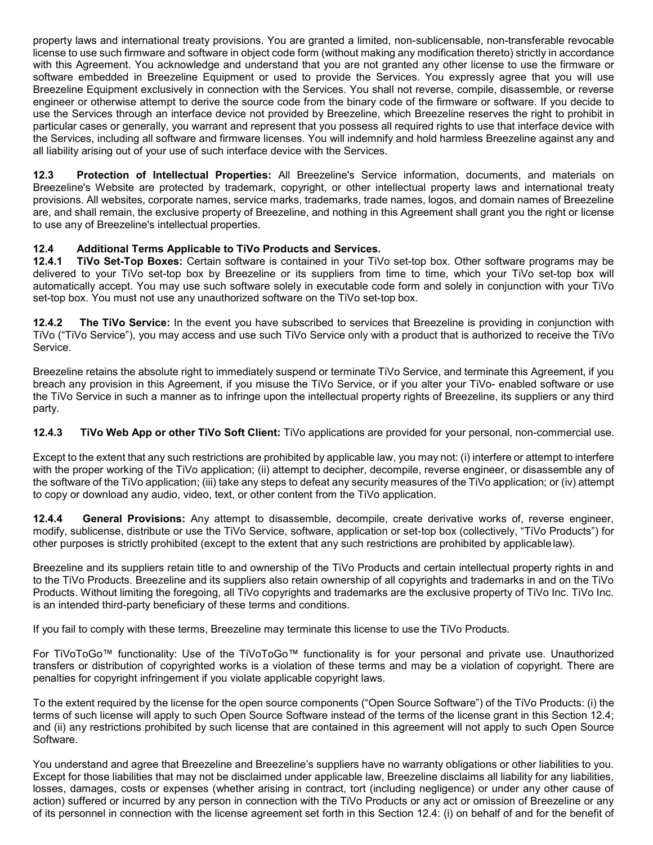property laws and international treaty provisions. You are granted a limited, non-sublicensable, non-transferable revocable license to use such firmware and software in object code form (without making any modification thereto) strictly in accordance with this Agreement. You acknowledge and understand that you are not granted any other license to use the firmware or software embedded in Breezeline Equipment or used to provide the Services. You expressly agree that you will use Breezeline Equipment exclusively in connection with the Services. You shall not reverse, compile, disassemble, or reverse engineer or otherwise attempt to derive the source code from the binary code of the firmware or software. If you decide to use the Services through an interface device not provided by Breezeline, which Breezeline reserves the right to prohibit in particular cases or generally, you warrant and represent that you possess all required rights to use that interface device with the Services, including all software and firmware licenses. You will indemnify and hold harmless Breezeline against any and all liability arising out of your use of such interface device with the Services.

**12.3 Protection of Intellectual Properties:** All Breezeline's Service information, documents, and materials on Breezeline's Website are protected by trademark, copyright, or other intellectual property laws and international treaty provisions. All websites, corporate names, service marks, trademarks, trade names, logos, and domain names of Breezeline are, and shall remain, the exclusive property of Breezeline, and nothing in this Agreement shall grant you the right or license to use any of Breezeline's intellectual properties.

### **12.4 Additional Terms Applicable to TiVo Products and Services.**

**12.4.1 TiVo Set-Top Boxes:** Certain software is contained in your TiVo set-top box. Other software programs may be delivered to your TiVo set-top box by Breezeline or its suppliers from time to time, which your TiVo set-top box will automatically accept. You may use such software solely in executable code form and solely in conjunction with your TiVo set-top box. You must not use any unauthorized software on the TiVo set-top box.

**12.4.2 The TiVo Service:** In the event you have subscribed to services that Breezeline is providing in conjunction with TiVo ("TiVo Service"), you may access and use such TiVo Service only with a product that is authorized to receive the TiVo Service.

Breezeline retains the absolute right to immediately suspend or terminate TiVo Service, and terminate this Agreement, if you breach any provision in this Agreement, if you misuse the TiVo Service, or if you alter your TiVo- enabled software or use the TiVo Service in such a manner as to infringe upon the intellectual property rights of Breezeline, its suppliers or any third party.

**12.4.3 TiVo Web App or other TiVo Soft Client:** TiVo applications are provided for your personal, non-commercial use.

Except to the extent that any such restrictions are prohibited by applicable law, you may not: (i) interfere or attempt to interfere with the proper working of the TiVo application; (ii) attempt to decipher, decompile, reverse engineer, or disassemble any of the software of the TiVo application; (iii) take any steps to defeat any security measures of the TiVo application; or (iv) attempt to copy or download any audio, video, text, or other content from the TiVo application.

**12.4.4 General Provisions:** Any attempt to disassemble, decompile, create derivative works of, reverse engineer, modify, sublicense, distribute or use the TiVo Service, software, application or set-top box (collectively, "TiVo Products") for other purposes is strictly prohibited (except to the extent that any such restrictions are prohibited by applicablelaw).

Breezeline and its suppliers retain title to and ownership of the TiVo Products and certain intellectual property rights in and to the TiVo Products. Breezeline and its suppliers also retain ownership of all copyrights and trademarks in and on the TiVo Products. Without limiting the foregoing, all TiVo copyrights and trademarks are the exclusive property of TiVo Inc. TiVo Inc. is an intended third-party beneficiary of these terms and conditions.

If you fail to comply with these terms, Breezeline may terminate this license to use the TiVo Products.

For TiVoToGo™ functionality: Use of the TiVoToGo™ functionality is for your personal and private use. Unauthorized transfers or distribution of copyrighted works is a violation of these terms and may be a violation of copyright. There are penalties for copyright infringement if you violate applicable copyright laws.

To the extent required by the license for the open source components ("Open Source Software") of the TiVo Products: (i) the terms of such license will apply to such Open Source Software instead of the terms of the license grant in this Section 12.4; and (ii) any restrictions prohibited by such license that are contained in this agreement will not apply to such Open Source Software.

You understand and agree that Breezeline and Breezeline's suppliers have no warranty obligations or other liabilities to you. Except for those liabilities that may not be disclaimed under applicable law, Breezeline disclaims all liability for any liabilities, losses, damages, costs or expenses (whether arising in contract, tort (including negligence) or under any other cause of action) suffered or incurred by any person in connection with the TiVo Products or any act or omission of Breezeline or any of its personnel in connection with the license agreement set forth in this Section 12.4: (i) on behalf of and for the benefit of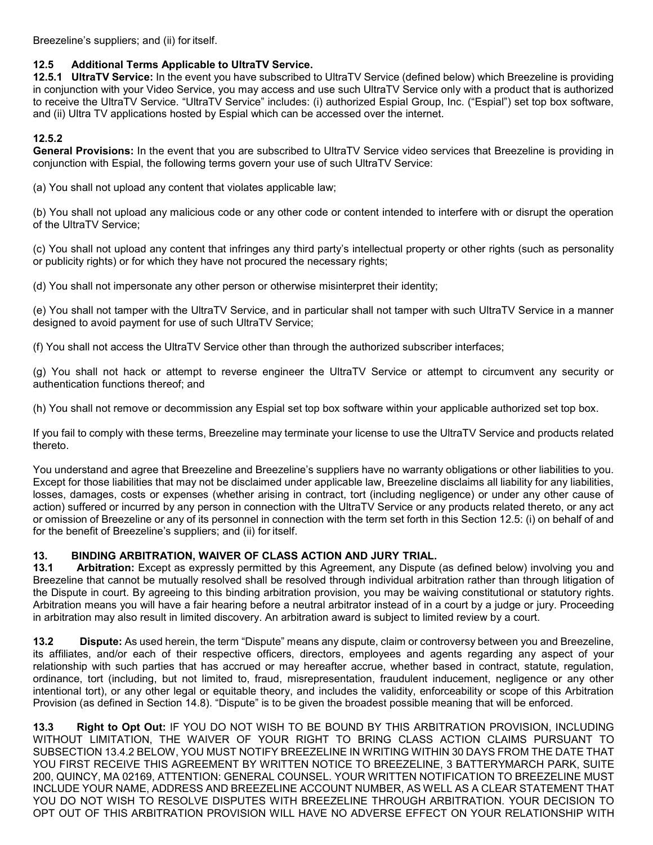Breezeline's suppliers; and (ii) for itself.

### **12.5 Additional Terms Applicable to UltraTV Service.**

**12.5.1 UltraTV Service:** In the event you have subscribed to UltraTV Service (defined below) which Breezeline is providing in conjunction with your Video Service, you may access and use such UltraTV Service only with a product that is authorized to receive the UltraTV Service. "UltraTV Service" includes: (i) authorized Espial Group, Inc. ("Espial") set top box software, and (ii) Ultra TV applications hosted by Espial which can be accessed over the internet.

### **12.5.2**

**General Provisions:** In the event that you are subscribed to UltraTV Service video services that Breezeline is providing in conjunction with Espial, the following terms govern your use of such UltraTV Service:

(a) You shall not upload any content that violates applicable law;

(b) You shall not upload any malicious code or any other code or content intended to interfere with or disrupt the operation of the UltraTV Service;

(c) You shall not upload any content that infringes any third party's intellectual property or other rights (such as personality or publicity rights) or for which they have not procured the necessary rights;

(d) You shall not impersonate any other person or otherwise misinterpret their identity;

(e) You shall not tamper with the UltraTV Service, and in particular shall not tamper with such UltraTV Service in a manner designed to avoid payment for use of such UltraTV Service;

(f) You shall not access the UltraTV Service other than through the authorized subscriber interfaces;

(g) You shall not hack or attempt to reverse engineer the UltraTV Service or attempt to circumvent any security or authentication functions thereof; and

(h) You shall not remove or decommission any Espial set top box software within your applicable authorized set top box.

If you fail to comply with these terms, Breezeline may terminate your license to use the UltraTV Service and products related thereto.

You understand and agree that Breezeline and Breezeline's suppliers have no warranty obligations or other liabilities to you. Except for those liabilities that may not be disclaimed under applicable law, Breezeline disclaims all liability for any liabilities, losses, damages, costs or expenses (whether arising in contract, tort (including negligence) or under any other cause of action) suffered or incurred by any person in connection with the UltraTV Service or any products related thereto, or any act or omission of Breezeline or any of its personnel in connection with the term set forth in this Section 12.5: (i) on behalf of and for the benefit of Breezeline's suppliers; and (ii) for itself.

### **13. BINDING ARBITRATION, WAIVER OF CLASS ACTION AND JURY TRIAL.**

**Arbitration:** Except as expressly permitted by this Agreement, any Dispute (as defined below) involving you and Breezeline that cannot be mutually resolved shall be resolved through individual arbitration rather than through litigation of the Dispute in court. By agreeing to this binding arbitration provision, you may be waiving constitutional or statutory rights. Arbitration means you will have a fair hearing before a neutral arbitrator instead of in a court by a judge or jury. Proceeding in arbitration may also result in limited discovery. An arbitration award is subject to limited review by a court.

**13.2 Dispute:** As used herein, the term "Dispute" means any dispute, claim or controversy between you and Breezeline, its affiliates, and/or each of their respective officers, directors, employees and agents regarding any aspect of your relationship with such parties that has accrued or may hereafter accrue, whether based in contract, statute, regulation, ordinance, tort (including, but not limited to, fraud, misrepresentation, fraudulent inducement, negligence or any other intentional tort), or any other legal or equitable theory, and includes the validity, enforceability or scope of this Arbitration Provision (as defined in Section 14.8). "Dispute" is to be given the broadest possible meaning that will be enforced.

**13.3 Right to Opt Out:** IF YOU DO NOT WISH TO BE BOUND BY THIS ARBITRATION PROVISION, INCLUDING WITHOUT LIMITATION, THE WAIVER OF YOUR RIGHT TO BRING CLASS ACTION CLAIMS PURSUANT TO SUBSECTION 13.4.2 BELOW, YOU MUST NOTIFY BREEZELINE IN WRITING WITHIN 30 DAYS FROM THE DATE THAT YOU FIRST RECEIVE THIS AGREEMENT BY WRITTEN NOTICE TO BREEZELINE, 3 BATTERYMARCH PARK, SUITE 200, QUINCY, MA 02169, ATTENTION: GENERAL COUNSEL. YOUR WRITTEN NOTIFICATION TO BREEZELINE MUST INCLUDE YOUR NAME, ADDRESS AND BREEZELINE ACCOUNT NUMBER, AS WELL AS A CLEAR STATEMENT THAT YOU DO NOT WISH TO RESOLVE DISPUTES WITH BREEZELINE THROUGH ARBITRATION. YOUR DECISION TO OPT OUT OF THIS ARBITRATION PROVISION WILL HAVE NO ADVERSE EFFECT ON YOUR RELATIONSHIP WITH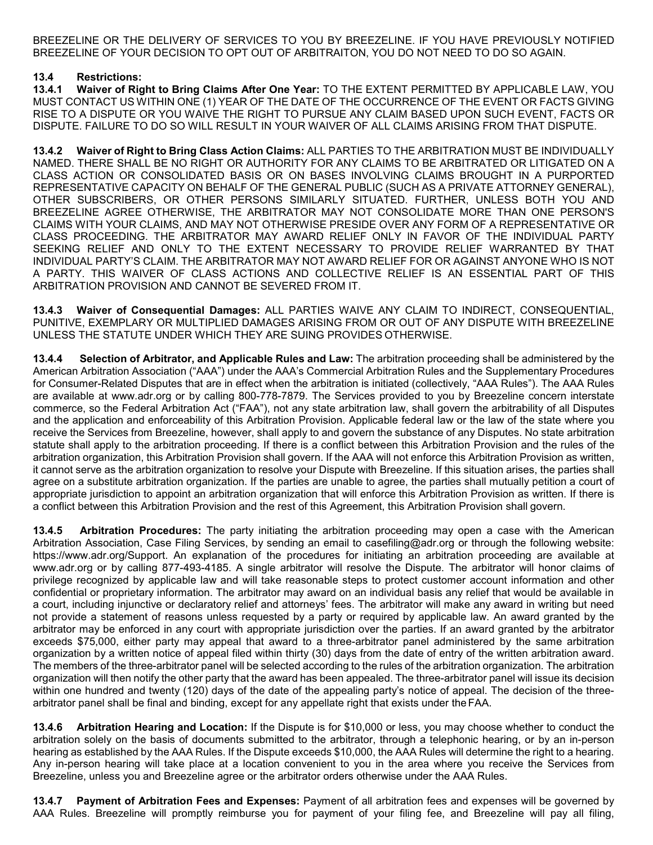BREEZELINE OR THE DELIVERY OF SERVICES TO YOU BY BREEZELINE. IF YOU HAVE PREVIOUSLY NOTIFIED BREEZELINE OF YOUR DECISION TO OPT OUT OF ARBITRAITON, YOU DO NOT NEED TO DO SO AGAIN.

### **13.4 Restrictions:**

**13.4.1 Waiver of Right to Bring Claims After One Year:** TO THE EXTENT PERMITTED BY APPLICABLE LAW, YOU MUST CONTACT US WITHIN ONE (1) YEAR OF THE DATE OF THE OCCURRENCE OF THE EVENT OR FACTS GIVING RISE TO A DISPUTE OR YOU WAIVE THE RIGHT TO PURSUE ANY CLAIM BASED UPON SUCH EVENT, FACTS OR DISPUTE. FAILURE TO DO SO WILL RESULT IN YOUR WAIVER OF ALL CLAIMS ARISING FROM THAT DISPUTE.

**13.4.2 Waiver of Right to Bring Class Action Claims:** ALL PARTIES TO THE ARBITRATION MUST BE INDIVIDUALLY NAMED. THERE SHALL BE NO RIGHT OR AUTHORITY FOR ANY CLAIMS TO BE ARBITRATED OR LITIGATED ON A CLASS ACTION OR CONSOLIDATED BASIS OR ON BASES INVOLVING CLAIMS BROUGHT IN A PURPORTED REPRESENTATIVE CAPACITY ON BEHALF OF THE GENERAL PUBLIC (SUCH AS A PRIVATE ATTORNEY GENERAL), OTHER SUBSCRIBERS, OR OTHER PERSONS SIMILARLY SITUATED. FURTHER, UNLESS BOTH YOU AND BREEZELINE AGREE OTHERWISE, THE ARBITRATOR MAY NOT CONSOLIDATE MORE THAN ONE PERSON'S CLAIMS WITH YOUR CLAIMS, AND MAY NOT OTHERWISE PRESIDE OVER ANY FORM OF A REPRESENTATIVE OR CLASS PROCEEDING. THE ARBITRATOR MAY AWARD RELIEF ONLY IN FAVOR OF THE INDIVIDUAL PARTY SEEKING RELIEF AND ONLY TO THE EXTENT NECESSARY TO PROVIDE RELIEF WARRANTED BY THAT INDIVIDUAL PARTY'S CLAIM. THE ARBITRATOR MAY NOT AWARD RELIEF FOR OR AGAINST ANYONE WHO IS NOT A PARTY. THIS WAIVER OF CLASS ACTIONS AND COLLECTIVE RELIEF IS AN ESSENTIAL PART OF THIS ARBITRATION PROVISION AND CANNOT BE SEVERED FROM IT.

**13.4.3 Waiver of Consequential Damages:** ALL PARTIES WAIVE ANY CLAIM TO INDIRECT, CONSEQUENTIAL, PUNITIVE, EXEMPLARY OR MULTIPLIED DAMAGES ARISING FROM OR OUT OF ANY DISPUTE WITH BREEZELINE UNLESS THE STATUTE UNDER WHICH THEY ARE SUING PROVIDES OTHERWISE.

**13.4.4 Selection of Arbitrator, and Applicable Rules and Law:** The arbitration proceeding shall be administered by the American Arbitration Association ("AAA") under the AAA's Commercial Arbitration Rules and the Supplementary Procedures for Consumer-Related Disputes that are in effect when the arbitration is initiated (collectively, "AAA Rules"). The AAA Rules are available at [www.adr.org](http://www.adr.org/) or by calling 800-778-7879. The Services provided to you by Breezeline concern interstate commerce, so the Federal Arbitration Act ("FAA"), not any state arbitration law, shall govern the arbitrability of all Disputes and the application and enforceability of this Arbitration Provision. Applicable federal law or the law of the state where you receive the Services from Breezeline, however, shall apply to and govern the substance of any Disputes. No state arbitration statute shall apply to the arbitration proceeding. If there is a conflict between this Arbitration Provision and the rules of the arbitration organization, this Arbitration Provision shall govern. If the AAA will not enforce this Arbitration Provision as written, it cannot serve as the arbitration organization to resolve your Dispute with Breezeline. If this situation arises, the parties shall agree on a substitute arbitration organization. If the parties are unable to agree, the parties shall mutually petition a court of appropriate jurisdiction to appoint an arbitration organization that will enforce this Arbitration Provision as written. If there is a conflict between this Arbitration Provision and the rest of this Agreement, this Arbitration Provision shall govern.

**13.4.5 Arbitration Procedures:** The party initiating the arbitration proceeding may open a case with the American Arbitration Association, Case Filing Services, by sending an email to [casefiling@adr.org o](mailto:casefiling@adr.org)r through the following website: https:/[/www.adr.org/Support.](http://www.adr.org/Support) An explanation of the procedures for initiating an arbitration proceeding are available a[t](http://www.adr.org/) [www.adr.org o](http://www.adr.org/)r by calling 877-493-4185. A single arbitrator will resolve the Dispute. The arbitrator will honor claims of privilege recognized by applicable law and will take reasonable steps to protect customer account information and other confidential or proprietary information. The arbitrator may award on an individual basis any relief that would be available in a court, including injunctive or declaratory relief and attorneys' fees. The arbitrator will make any award in writing but need not provide a statement of reasons unless requested by a party or required by applicable law. An award granted by the arbitrator may be enforced in any court with appropriate jurisdiction over the parties. If an award granted by the arbitrator exceeds \$75,000, either party may appeal that award to a three-arbitrator panel administered by the same arbitration organization by a written notice of appeal filed within thirty (30) days from the date of entry of the written arbitration award. The members of the three-arbitrator panel will be selected according to the rules of the arbitration organization. The arbitration organization will then notify the other party that the award has been appealed. The three-arbitrator panel will issue its decision within one hundred and twenty (120) days of the date of the appealing party's notice of appeal. The decision of the threearbitrator panel shall be final and binding, except for any appellate right that exists under theFAA.

**13.4.6 Arbitration Hearing and Location:** If the Dispute is for \$10,000 or less, you may choose whether to conduct the arbitration solely on the basis of documents submitted to the arbitrator, through a telephonic hearing, or by an in-person hearing as established by the AAA Rules. If the Dispute exceeds \$10,000, the AAA Rules will determine the right to a hearing. Any in-person hearing will take place at a location convenient to you in the area where you receive the Services from Breezeline, unless you and Breezeline agree or the arbitrator orders otherwise under the AAA Rules.

**13.4.7 Payment of Arbitration Fees and Expenses:** Payment of all arbitration fees and expenses will be governed by AAA Rules. Breezeline will promptly reimburse you for payment of your filing fee, and Breezeline will pay all filing,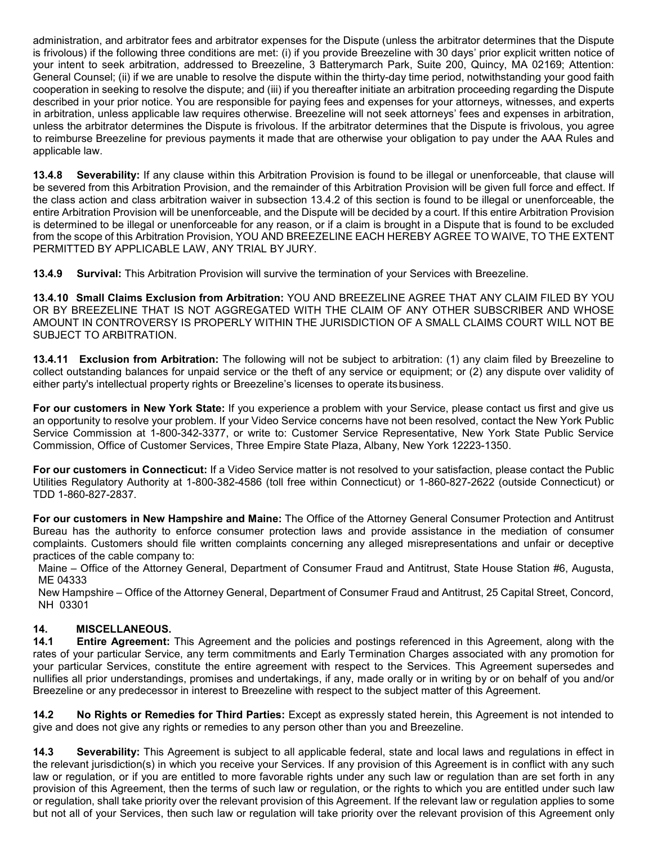administration, and arbitrator fees and arbitrator expenses for the Dispute (unless the arbitrator determines that the Dispute is frivolous) if the following three conditions are met: (i) if you provide Breezeline with 30 days' prior explicit written notice of your intent to seek arbitration, addressed to Breezeline, 3 Batterymarch Park, Suite 200, Quincy, MA 02169; Attention: General Counsel; (ii) if we are unable to resolve the dispute within the thirty-day time period, notwithstanding your good faith cooperation in seeking to resolve the dispute; and (iii) if you thereafter initiate an arbitration proceeding regarding the Dispute described in your prior notice. You are responsible for paying fees and expenses for your attorneys, witnesses, and experts in arbitration, unless applicable law requires otherwise. Breezeline will not seek attorneys' fees and expenses in arbitration, unless the arbitrator determines the Dispute is frivolous. If the arbitrator determines that the Dispute is frivolous, you agree to reimburse Breezeline for previous payments it made that are otherwise your obligation to pay under the AAA Rules and applicable law.

**13.4.8 Severability:** If any clause within this Arbitration Provision is found to be illegal or unenforceable, that clause will be severed from this Arbitration Provision, and the remainder of this Arbitration Provision will be given full force and effect. If the class action and class arbitration waiver in subsection 13.4.2 of this section is found to be illegal or unenforceable, the entire Arbitration Provision will be unenforceable, and the Dispute will be decided by a court. If this entire Arbitration Provision is determined to be illegal or unenforceable for any reason, or if a claim is brought in a Dispute that is found to be excluded from the scope of this Arbitration Provision, YOU AND BREEZELINE EACH HEREBY AGREE TO WAIVE, TO THE EXTENT PERMITTED BY APPLICABLE LAW, ANY TRIAL BY JURY.

**13.4.9 Survival:** This Arbitration Provision will survive the termination of your Services with Breezeline.

**13.4.10 Small Claims Exclusion from Arbitration:** YOU AND BREEZELINE AGREE THAT ANY CLAIM FILED BY YOU OR BY BREEZELINE THAT IS NOT AGGREGATED WITH THE CLAIM OF ANY OTHER SUBSCRIBER AND WHOSE AMOUNT IN CONTROVERSY IS PROPERLY WITHIN THE JURISDICTION OF A SMALL CLAIMS COURT WILL NOT BE SUBJECT TO ARBITRATION.

**13.4.11 Exclusion from Arbitration:** The following will not be subject to arbitration: (1) any claim filed by Breezeline to collect outstanding balances for unpaid service or the theft of any service or equipment; or (2) any dispute over validity of either party's intellectual property rights or Breezeline's licenses to operate itsbusiness.

**For our customers in New York State:** If you experience a problem with your Service, please contact us first and give us an opportunity to resolve your problem. If your Video Service concerns have not been resolved, contact the New York Public Service Commission at 1-800-342-3377, or write to: Customer Service Representative, New York State Public Service Commission, Office of Customer Services, Three Empire State Plaza, Albany, New York 12223-1350.

**For our customers in Connecticut:** If a Video Service matter is not resolved to your satisfaction, please contact the Public Utilities Regulatory Authority at 1-800-382-4586 (toll free within Connecticut) or 1-860-827-2622 (outside Connecticut) or TDD 1-860-827-2837.

**For our customers in New Hampshire and Maine:** The Office of the Attorney General Consumer Protection and Antitrust Bureau has the authority to enforce consumer protection laws and provide assistance in the mediation of consumer complaints. Customers should file written complaints concerning any alleged misrepresentations and unfair or deceptive practices of the cable company to:

Maine – Office of the Attorney General, Department of Consumer Fraud and Antitrust, State House Station #6, Augusta, ME 04333

New Hampshire – Office of the Attorney General, Department of Consumer Fraud and Antitrust, 25 Capital Street, Concord, NH 03301

### **14. MISCELLANEOUS.**

**Entire Agreement:** This Agreement and the policies and postings referenced in this Agreement, along with the rates of your particular Service, any term commitments and Early Termination Charges associated with any promotion for your particular Services, constitute the entire agreement with respect to the Services. This Agreement supersedes and nullifies all prior understandings, promises and undertakings, if any, made orally or in writing by or on behalf of you and/or Breezeline or any predecessor in interest to Breezeline with respect to the subject matter of this Agreement.

**14.2 No Rights or Remedies for Third Parties:** Except as expressly stated herein, this Agreement is not intended to give and does not give any rights or remedies to any person other than you and Breezeline.

**14.3 Severability:** This Agreement is subject to all applicable federal, state and local laws and regulations in effect in the relevant jurisdiction(s) in which you receive your Services. If any provision of this Agreement is in conflict with any such law or regulation, or if you are entitled to more favorable rights under any such law or regulation than are set forth in any provision of this Agreement, then the terms of such law or regulation, or the rights to which you are entitled under such law or regulation, shall take priority over the relevant provision of this Agreement. If the relevant law or regulation applies to some but not all of your Services, then such law or regulation will take priority over the relevant provision of this Agreement only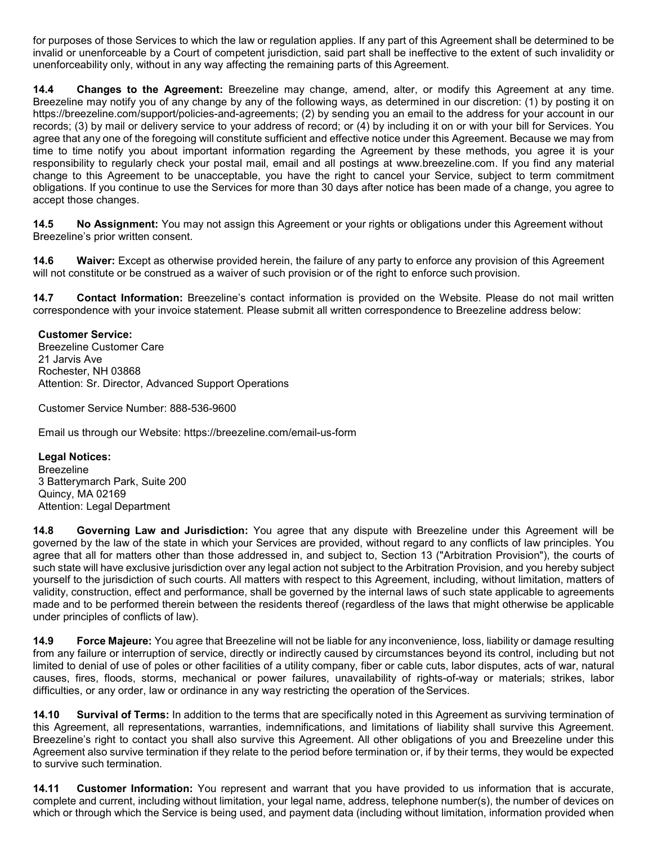for purposes of those Services to which the law or regulation applies. If any part of this Agreement shall be determined to be invalid or unenforceable by a Court of competent jurisdiction, said part shall be ineffective to the extent of such invalidity or unenforceability only, without in any way affecting the remaining parts of this Agreement.

**14.4 Changes to the Agreement:** Breezeline may change, amend, alter, or modify this Agreement at any time. Breezeline may notify you of any change by any of the following ways, as determined in our discretion: (1) by posting it on https://breezeline.com/support/policies-and-agreements; (2) by sending you an email to the address for your account in our records; (3) by mail or delivery service to your address of record; or (4) by including it on or with your bill for Services. You agree that any one of the foregoing will constitute sufficient and effective notice under this Agreement. Because we may from time to time notify you about important information regarding the Agreement by these methods, you agree it is your responsibility to regularly check your postal mail, email and all postings at [www.breezeline.com. I](http://www.atlanticbb.com/)f you find any material change to this Agreement to be unacceptable, you have the right to cancel your Service, subject to term commitment obligations. If you continue to use the Services for more than 30 days after notice has been made of a change, you agree to accept those changes.

**14.5 No Assignment:** You may not assign this Agreement or your rights or obligations under this Agreement without Breezeline's prior written consent.

**14.6 Waiver:** Except as otherwise provided herein, the failure of any party to enforce any provision of this Agreement will not constitute or be construed as a waiver of such provision or of the right to enforce such provision.

**14.7 Contact Information:** Breezeline's contact information is provided on the Website. Please do not mail written correspondence with your invoice statement. Please submit all written correspondence to Breezeline address below:

#### **Customer Service:**

Breezeline Customer Care 21 Jarvis Ave Rochester, NH 03868 Attention: Sr. Director, Advanced Support Operations

Customer Service Number: 888-536-9600

Email us through our Website: https://breezeline.com/email-us-form

**Legal Notices:** Breezeline 3 Batterymarch Park, Suite 200 Quincy, MA 02169 Attention: Legal Department

**14.8 Governing Law and Jurisdiction:** You agree that any dispute with Breezeline under this Agreement will be governed by the law of the state in which your Services are provided, without regard to any conflicts of law principles. You agree that all for matters other than those addressed in, and subject to, Section 13 ("Arbitration Provision"), the courts of such state will have exclusive jurisdiction over any legal action not subject to the Arbitration Provision, and you hereby subject yourself to the jurisdiction of such courts. All matters with respect to this Agreement, including, without limitation, matters of validity, construction, effect and performance, shall be governed by the internal laws of such state applicable to agreements made and to be performed therein between the residents thereof (regardless of the laws that might otherwise be applicable under principles of conflicts of law).

**14.9 Force Majeure:** You agree that Breezeline will not be liable for any inconvenience, loss, liability or damage resulting from any failure or interruption of service, directly or indirectly caused by circumstances beyond its control, including but not limited to denial of use of poles or other facilities of a utility company, fiber or cable cuts, labor disputes, acts of war, natural causes, fires, floods, storms, mechanical or power failures, unavailability of rights-of-way or materials; strikes, labor difficulties, or any order, law or ordinance in any way restricting the operation of the Services.

**14.10 Survival of Terms:** In addition to the terms that are specifically noted in this Agreement as surviving termination of this Agreement, all representations, warranties, indemnifications, and limitations of liability shall survive this Agreement. Breezeline's right to contact you shall also survive this Agreement. All other obligations of you and Breezeline under this Agreement also survive termination if they relate to the period before termination or, if by their terms, they would be expected to survive such termination.

**14.11 Customer Information:** You represent and warrant that you have provided to us information that is accurate, complete and current, including without limitation, your legal name, address, telephone number(s), the number of devices on which or through which the Service is being used, and payment data (including without limitation, information provided when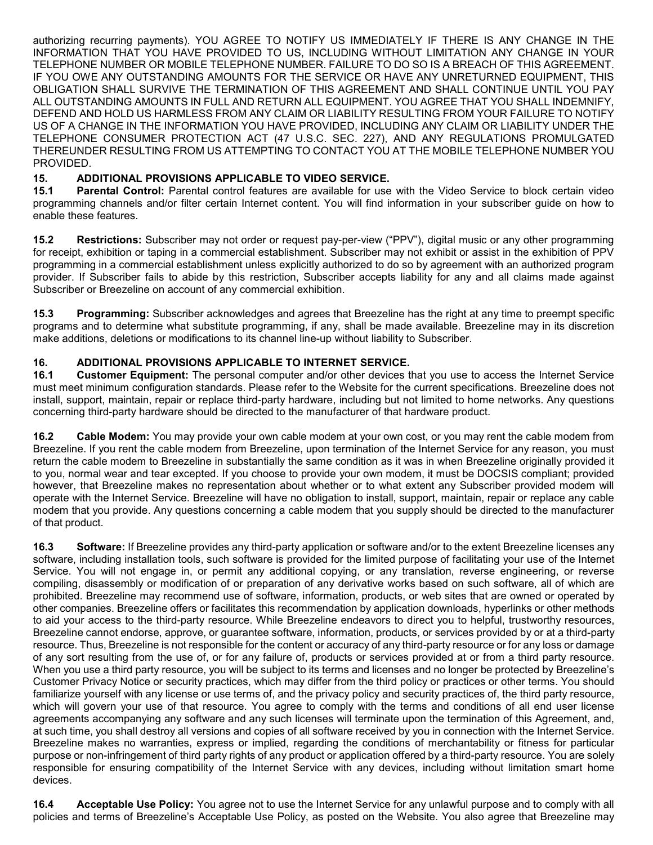authorizing recurring payments). YOU AGREE TO NOTIFY US IMMEDIATELY IF THERE IS ANY CHANGE IN THE INFORMATION THAT YOU HAVE PROVIDED TO US, INCLUDING WITHOUT LIMITATION ANY CHANGE IN YOUR TELEPHONE NUMBER OR MOBILE TELEPHONE NUMBER. FAILURE TO DO SO IS A BREACH OF THIS AGREEMENT. IF YOU OWE ANY OUTSTANDING AMOUNTS FOR THE SERVICE OR HAVE ANY UNRETURNED EQUIPMENT, THIS OBLIGATION SHALL SURVIVE THE TERMINATION OF THIS AGREEMENT AND SHALL CONTINUE UNTIL YOU PAY ALL OUTSTANDING AMOUNTS IN FULL AND RETURN ALL EQUIPMENT. YOU AGREE THAT YOU SHALL INDEMNIFY, DEFEND AND HOLD US HARMLESS FROM ANY CLAIM OR LIABILITY RESULTING FROM YOUR FAILURE TO NOTIFY US OF A CHANGE IN THE INFORMATION YOU HAVE PROVIDED, INCLUDING ANY CLAIM OR LIABILITY UNDER THE TELEPHONE CONSUMER PROTECTION ACT (47 U.S.C. SEC. 227), AND ANY REGULATIONS PROMULGATED THEREUNDER RESULTING FROM US ATTEMPTING TO CONTACT YOU AT THE MOBILE TELEPHONE NUMBER YOU PROVIDED.

### **15. ADDITIONAL PROVISIONS APPLICABLE TO VIDEO SERVICE.**

Parental Control: Parental control features are available for use with the Video Service to block certain video programming channels and/or filter certain Internet content. You will find information in your subscriber guide on how to enable these features.

**15.2 Restrictions:** Subscriber may not order or request pay-per-view ("PPV"), digital music or any other programming for receipt, exhibition or taping in a commercial establishment. Subscriber may not exhibit or assist in the exhibition of PPV programming in a commercial establishment unless explicitly authorized to do so by agreement with an authorized program provider. If Subscriber fails to abide by this restriction, Subscriber accepts liability for any and all claims made against Subscriber or Breezeline on account of any commercial exhibition.

**15.3 Programming:** Subscriber acknowledges and agrees that Breezeline has the right at any time to preempt specific programs and to determine what substitute programming, if any, shall be made available. Breezeline may in its discretion make additions, deletions or modifications to its channel line-up without liability to Subscriber.

# **16. ADDITIONAL PROVISIONS APPLICABLE TO INTERNET SERVICE.**

**16.1 Customer Equipment:** The personal computer and/or other devices that you use to access the Internet Service must meet minimum configuration standards. Please refer to the Website for the current specifications. Breezeline does not install, support, maintain, repair or replace third-party hardware, including but not limited to home networks. Any questions concerning third-party hardware should be directed to the manufacturer of that hardware product.

**16.2 Cable Modem:** You may provide your own cable modem at your own cost, or you may rent the cable modem from Breezeline. If you rent the cable modem from Breezeline, upon termination of the Internet Service for any reason, you must return the cable modem to Breezeline in substantially the same condition as it was in when Breezeline originally provided it to you, normal wear and tear excepted. If you choose to provide your own modem, it must be DOCSIS compliant; provided however, that Breezeline makes no representation about whether or to what extent any Subscriber provided modem will operate with the Internet Service. Breezeline will have no obligation to install, support, maintain, repair or replace any cable modem that you provide. Any questions concerning a cable modem that you supply should be directed to the manufacturer of that product.

**16.3 Software:** If Breezeline provides any third-party application or software and/or to the extent Breezeline licenses any software, including installation tools, such software is provided for the limited purpose of facilitating your use of the Internet Service. You will not engage in, or permit any additional copying, or any translation, reverse engineering, or reverse compiling, disassembly or modification of or preparation of any derivative works based on such software, all of which are prohibited. Breezeline may recommend use of software, information, products, or web sites that are owned or operated by other companies. Breezeline offers or facilitates this recommendation by application downloads, hyperlinks or other methods to aid your access to the third-party resource. While Breezeline endeavors to direct you to helpful, trustworthy resources, Breezeline cannot endorse, approve, or guarantee software, information, products, or services provided by or at a third-party resource. Thus, Breezeline is not responsible for the content or accuracy of any third-party resource or for any loss or damage of any sort resulting from the use of, or for any failure of, products or services provided at or from a third party resource. When you use a third party resource, you will be subject to its terms and licenses and no longer be protected by Breezeline's Customer Privacy Notice or security practices, which may differ from the third policy or practices or other terms. You should familiarize yourself with any license or use terms of, and the privacy policy and security practices of, the third party resource, which will govern your use of that resource. You agree to comply with the terms and conditions of all end user license agreements accompanying any software and any such licenses will terminate upon the termination of this Agreement, and, at such time, you shall destroy all versions and copies of all software received by you in connection with the Internet Service. Breezeline makes no warranties, express or implied, regarding the conditions of merchantability or fitness for particular purpose or non-infringement of third party rights of any product or application offered by a third-party resource. You are solely responsible for ensuring compatibility of the Internet Service with any devices, including without limitation smart home devices.

**16.4 Acceptable Use Policy:** You agree not to use the Internet Service for any unlawful purpose and to comply with all policies and terms of Breezeline's Acceptable Use Policy, as posted on the Website. You also agree that Breezeline may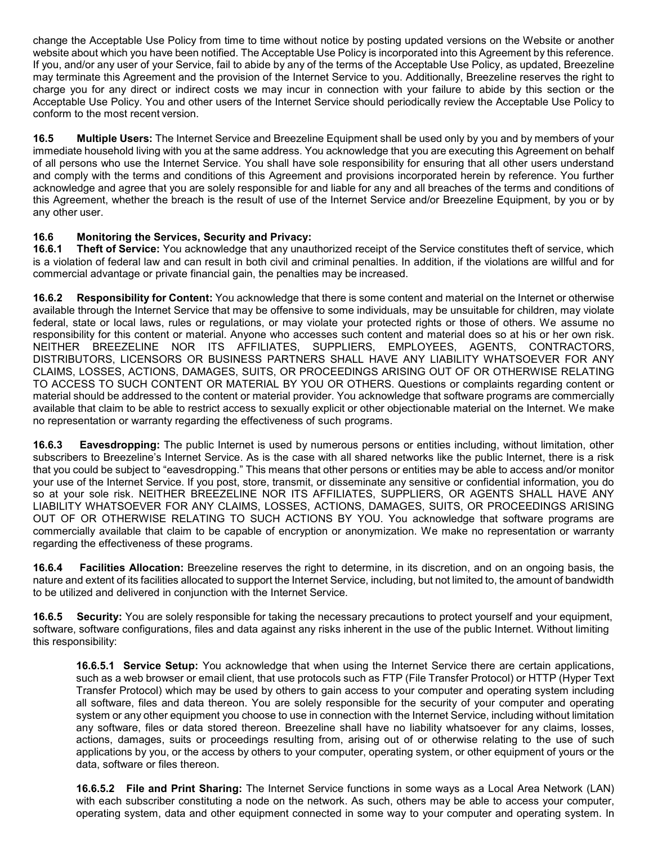change the Acceptable Use Policy from time to time without notice by posting updated versions on the Website or another website about which you have been notified. The Acceptable Use Policy is incorporated into this Agreement by this reference. If you, and/or any user of your Service, fail to abide by any of the terms of the Acceptable Use Policy, as updated, Breezeline may terminate this Agreement and the provision of the Internet Service to you. Additionally, Breezeline reserves the right to charge you for any direct or indirect costs we may incur in connection with your failure to abide by this section or the Acceptable Use Policy. You and other users of the Internet Service should periodically review the Acceptable Use Policy to conform to the most recent version.

**16.5 Multiple Users:** The Internet Service and Breezeline Equipment shall be used only by you and by members of your immediate household living with you at the same address. You acknowledge that you are executing this Agreement on behalf of all persons who use the Internet Service. You shall have sole responsibility for ensuring that all other users understand and comply with the terms and conditions of this Agreement and provisions incorporated herein by reference. You further acknowledge and agree that you are solely responsible for and liable for any and all breaches of the terms and conditions of this Agreement, whether the breach is the result of use of the Internet Service and/or Breezeline Equipment, by you or by any other user.

### **16.6 Monitoring the Services, Security and Privacy:**

**16.6.1 Theft of Service:** You acknowledge that any unauthorized receipt of the Service constitutes theft of service, which is a violation of federal law and can result in both civil and criminal penalties. In addition, if the violations are willful and for commercial advantage or private financial gain, the penalties may be increased.

**16.6.2 Responsibility for Content:** You acknowledge that there is some content and material on the Internet or otherwise available through the Internet Service that may be offensive to some individuals, may be unsuitable for children, may violate federal, state or local laws, rules or regulations, or may violate your protected rights or those of others. We assume no responsibility for this content or material. Anyone who accesses such content and material does so at his or her own risk. NEITHER BREEZELINE NOR ITS AFFILIATES, SUPPLIERS, EMPLOYEES, AGENTS, CONTRACTORS, DISTRIBUTORS, LICENSORS OR BUSINESS PARTNERS SHALL HAVE ANY LIABILITY WHATSOEVER FOR ANY CLAIMS, LOSSES, ACTIONS, DAMAGES, SUITS, OR PROCEEDINGS ARISING OUT OF OR OTHERWISE RELATING TO ACCESS TO SUCH CONTENT OR MATERIAL BY YOU OR OTHERS. Questions or complaints regarding content or material should be addressed to the content or material provider. You acknowledge that software programs are commercially available that claim to be able to restrict access to sexually explicit or other objectionable material on the Internet. We make no representation or warranty regarding the effectiveness of such programs.

**16.6.3 Eavesdropping:** The public Internet is used by numerous persons or entities including, without limitation, other subscribers to Breezeline's Internet Service. As is the case with all shared networks like the public Internet, there is a risk that you could be subject to "eavesdropping." This means that other persons or entities may be able to access and/or monitor your use of the Internet Service. If you post, store, transmit, or disseminate any sensitive or confidential information, you do so at your sole risk. NEITHER BREEZELINE NOR ITS AFFILIATES, SUPPLIERS, OR AGENTS SHALL HAVE ANY LIABILITY WHATSOEVER FOR ANY CLAIMS, LOSSES, ACTIONS, DAMAGES, SUITS, OR PROCEEDINGS ARISING OUT OF OR OTHERWISE RELATING TO SUCH ACTIONS BY YOU. You acknowledge that software programs are commercially available that claim to be capable of encryption or anonymization. We make no representation or warranty regarding the effectiveness of these programs.

**16.6.4 Facilities Allocation:** Breezeline reserves the right to determine, in its discretion, and on an ongoing basis, the nature and extent of its facilities allocated to support the Internet Service, including, but not limited to, the amount of bandwidth to be utilized and delivered in conjunction with the Internet Service.

**16.6.5 Security:** You are solely responsible for taking the necessary precautions to protect yourself and your equipment, software, software configurations, files and data against any risks inherent in the use of the public Internet. Without limiting this responsibility:

**16.6.5.1 Service Setup:** You acknowledge that when using the Internet Service there are certain applications, such as a web browser or email client, that use protocols such as FTP (File Transfer Protocol) or HTTP (Hyper Text Transfer Protocol) which may be used by others to gain access to your computer and operating system including all software, files and data thereon. You are solely responsible for the security of your computer and operating system or any other equipment you choose to use in connection with the Internet Service, including without limitation any software, files or data stored thereon. Breezeline shall have no liability whatsoever for any claims, losses, actions, damages, suits or proceedings resulting from, arising out of or otherwise relating to the use of such applications by you, or the access by others to your computer, operating system, or other equipment of yours or the data, software or files thereon.

**16.6.5.2 File and Print Sharing:** The Internet Service functions in some ways as a Local Area Network (LAN) with each subscriber constituting a node on the network. As such, others may be able to access your computer, operating system, data and other equipment connected in some way to your computer and operating system. In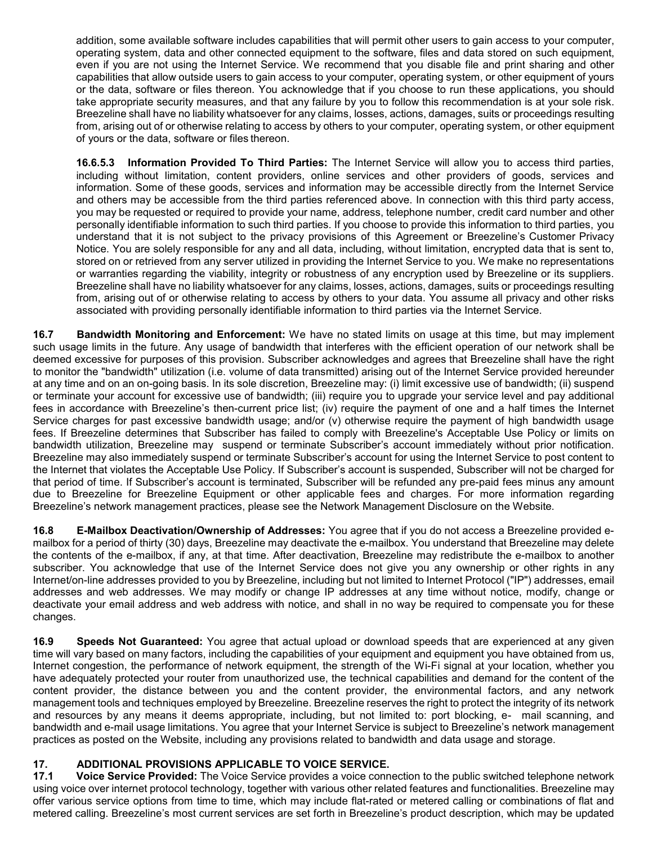addition, some available software includes capabilities that will permit other users to gain access to your computer, operating system, data and other connected equipment to the software, files and data stored on such equipment, even if you are not using the Internet Service. We recommend that you disable file and print sharing and other capabilities that allow outside users to gain access to your computer, operating system, or other equipment of yours or the data, software or files thereon. You acknowledge that if you choose to run these applications, you should take appropriate security measures, and that any failure by you to follow this recommendation is at your sole risk. Breezeline shall have no liability whatsoever for any claims, losses, actions, damages, suits or proceedings resulting from, arising out of or otherwise relating to access by others to your computer, operating system, or other equipment of yours or the data, software or files thereon.

**16.6.5.3 Information Provided To Third Parties:** The Internet Service will allow you to access third parties, including without limitation, content providers, online services and other providers of goods, services and information. Some of these goods, services and information may be accessible directly from the Internet Service and others may be accessible from the third parties referenced above. In connection with this third party access, you may be requested or required to provide your name, address, telephone number, credit card number and other personally identifiable information to such third parties. If you choose to provide this information to third parties, you understand that it is not subject to the privacy provisions of this Agreement or Breezeline's Customer Privacy Notice. You are solely responsible for any and all data, including, without limitation, encrypted data that is sent to, stored on or retrieved from any server utilized in providing the Internet Service to you. We make no representations or warranties regarding the viability, integrity or robustness of any encryption used by Breezeline or its suppliers. Breezeline shall have no liability whatsoever for any claims, losses, actions, damages, suits or proceedings resulting from, arising out of or otherwise relating to access by others to your data. You assume all privacy and other risks associated with providing personally identifiable information to third parties via the Internet Service.

**16.7 Bandwidth Monitoring and Enforcement:** We have no stated limits on usage at this time, but may implement such usage limits in the future. Any usage of bandwidth that interferes with the efficient operation of our network shall be deemed excessive for purposes of this provision. Subscriber acknowledges and agrees that Breezeline shall have the right to monitor the "bandwidth" utilization (i.e. volume of data transmitted) arising out of the Internet Service provided hereunder at any time and on an on-going basis. In its sole discretion, Breezeline may: (i) limit excessive use of bandwidth; (ii) suspend or terminate your account for excessive use of bandwidth; (iii) require you to upgrade your service level and pay additional fees in accordance with Breezeline's then-current price list; (iv) require the payment of one and a half times the Internet Service charges for past excessive bandwidth usage; and/or (v) otherwise require the payment of high bandwidth usage fees. If Breezeline determines that Subscriber has failed to comply with Breezeline's Acceptable Use Policy or limits on bandwidth utilization, Breezeline may suspend or terminate Subscriber's account immediately without prior notification. Breezeline may also immediately suspend or terminate Subscriber's account for using the Internet Service to post content to the Internet that violates the Acceptable Use Policy. If Subscriber's account is suspended, Subscriber will not be charged for that period of time. If Subscriber's account is terminated, Subscriber will be refunded any pre-paid fees minus any amount due to Breezeline for Breezeline Equipment or other applicable fees and charges. For more information regarding Breezeline's network management practices, please see the Network Management Disclosure on the Website.

**16.8 E-Mailbox Deactivation/Ownership of Addresses:** You agree that if you do not access a Breezeline provided emailbox for a period of thirty (30) days, Breezeline may deactivate the e-mailbox. You understand that Breezeline may delete the contents of the e-mailbox, if any, at that time. After deactivation, Breezeline may redistribute the e-mailbox to another subscriber. You acknowledge that use of the Internet Service does not give you any ownership or other rights in any Internet/on-line addresses provided to you by Breezeline, including but not limited to Internet Protocol ("IP") addresses, email addresses and web addresses. We may modify or change IP addresses at any time without notice, modify, change or deactivate your email address and web address with notice, and shall in no way be required to compensate you for these changes.

**16.9 Speeds Not Guaranteed:** You agree that actual upload or download speeds that are experienced at any given time will vary based on many factors, including the capabilities of your equipment and equipment you have obtained from us, Internet congestion, the performance of network equipment, the strength of the Wi-Fi signal at your location, whether you have adequately protected your router from unauthorized use, the technical capabilities and demand for the content of the content provider, the distance between you and the content provider, the environmental factors, and any network management tools and techniques employed by Breezeline. Breezeline reserves the right to protect the integrity of its network and resources by any means it deems appropriate, including, but not limited to: port blocking, e- mail scanning, and bandwidth and e-mail usage limitations. You agree that your Internet Service is subject to Breezeline's network management practices as posted on the Website, including any provisions related to bandwidth and data usage and storage.

### **17. ADDITIONAL PROVISIONS APPLICABLE TO VOICE SERVICE.**

**17.1 Voice Service Provided:** The Voice Service provides a voice connection to the public switched telephone network using voice over internet protocol technology, together with various other related features and functionalities. Breezeline may offer various service options from time to time, which may include flat-rated or metered calling or combinations of flat and metered calling. Breezeline's most current services are set forth in Breezeline's product description, which may be updated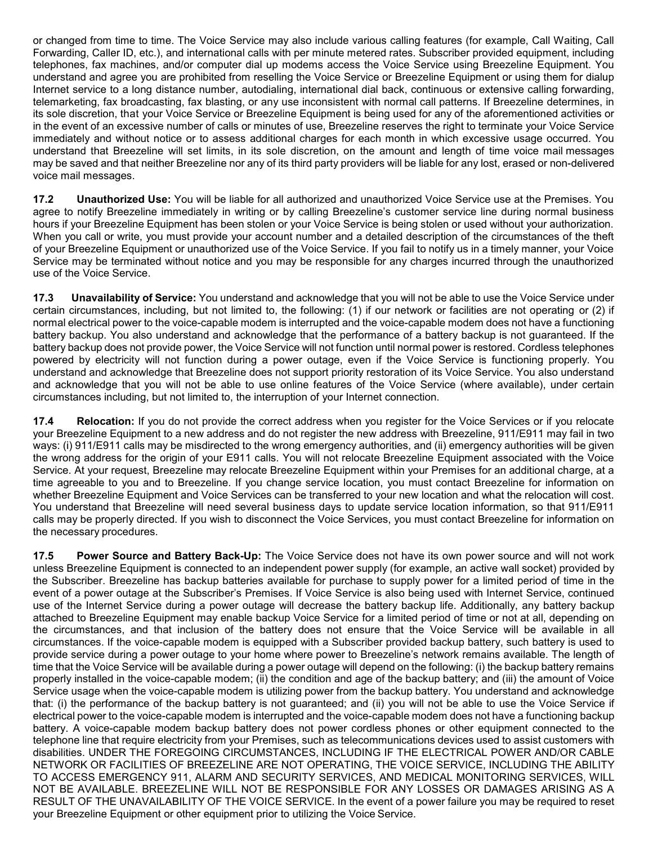or changed from time to time. The Voice Service may also include various calling features (for example, Call Waiting, Call Forwarding, Caller ID, etc.), and international calls with per minute metered rates. Subscriber provided equipment, including telephones, fax machines, and/or computer dial up modems access the Voice Service using Breezeline Equipment. You understand and agree you are prohibited from reselling the Voice Service or Breezeline Equipment or using them for dialup Internet service to a long distance number, autodialing, international dial back, continuous or extensive calling forwarding, telemarketing, fax broadcasting, fax blasting, or any use inconsistent with normal call patterns. If Breezeline determines, in its sole discretion, that your Voice Service or Breezeline Equipment is being used for any of the aforementioned activities or in the event of an excessive number of calls or minutes of use, Breezeline reserves the right to terminate your Voice Service immediately and without notice or to assess additional charges for each month in which excessive usage occurred. You understand that Breezeline will set limits, in its sole discretion, on the amount and length of time voice mail messages may be saved and that neither Breezeline nor any of its third party providers will be liable for any lost, erased or non-delivered voice mail messages.

**17.2 Unauthorized Use:** You will be liable for all authorized and unauthorized Voice Service use at the Premises. You agree to notify Breezeline immediately in writing or by calling Breezeline's customer service line during normal business hours if your Breezeline Equipment has been stolen or your Voice Service is being stolen or used without your authorization. When you call or write, you must provide your account number and a detailed description of the circumstances of the theft of your Breezeline Equipment or unauthorized use of the Voice Service. If you fail to notify us in a timely manner, your Voice Service may be terminated without notice and you may be responsible for any charges incurred through the unauthorized use of the Voice Service.

**17.3 Unavailability of Service:** You understand and acknowledge that you will not be able to use the Voice Service under certain circumstances, including, but not limited to, the following: (1) if our network or facilities are not operating or (2) if normal electrical power to the voice-capable modem is interrupted and the voice-capable modem does not have a functioning battery backup. You also understand and acknowledge that the performance of a battery backup is not guaranteed. If the battery backup does not provide power, the Voice Service will not function until normal power is restored. Cordless telephones powered by electricity will not function during a power outage, even if the Voice Service is functioning properly. You understand and acknowledge that Breezeline does not support priority restoration of its Voice Service. You also understand and acknowledge that you will not be able to use online features of the Voice Service (where available), under certain circumstances including, but not limited to, the interruption of your Internet connection.

**17.4 Relocation:** If you do not provide the correct address when you register for the Voice Services or if you relocate your Breezeline Equipment to a new address and do not register the new address with Breezeline, 911/E911 may fail in two ways: (i) 911/E911 calls may be misdirected to the wrong emergency authorities, and (ii) emergency authorities will be given the wrong address for the origin of your E911 calls. You will not relocate Breezeline Equipment associated with the Voice Service. At your request, Breezeline may relocate Breezeline Equipment within your Premises for an additional charge, at a time agreeable to you and to Breezeline. If you change service location, you must contact Breezeline for information on whether Breezeline Equipment and Voice Services can be transferred to your new location and what the relocation will cost. You understand that Breezeline will need several business days to update service location information, so that 911/E911 calls may be properly directed. If you wish to disconnect the Voice Services, you must contact Breezeline for information on the necessary procedures.

**17.5 Power Source and Battery Back-Up:** The Voice Service does not have its own power source and will not work unless Breezeline Equipment is connected to an independent power supply (for example, an active wall socket) provided by the Subscriber. Breezeline has backup batteries available for purchase to supply power for a limited period of time in the event of a power outage at the Subscriber's Premises. If Voice Service is also being used with Internet Service, continued use of the Internet Service during a power outage will decrease the battery backup life. Additionally, any battery backup attached to Breezeline Equipment may enable backup Voice Service for a limited period of time or not at all, depending on the circumstances, and that inclusion of the battery does not ensure that the Voice Service will be available in all circumstances. If the voice-capable modem is equipped with a Subscriber provided backup battery, such battery is used to provide service during a power outage to your home where power to Breezeline's network remains available. The length of time that the Voice Service will be available during a power outage will depend on the following: (i) the backup battery remains properly installed in the voice-capable modem; (ii) the condition and age of the backup battery; and (iii) the amount of Voice Service usage when the voice-capable modem is utilizing power from the backup battery. You understand and acknowledge that: (i) the performance of the backup battery is not guaranteed; and (ii) you will not be able to use the Voice Service if electrical power to the voice-capable modem is interrupted and the voice-capable modem does not have a functioning backup battery. A voice-capable modem backup battery does not power cordless phones or other equipment connected to the telephone line that require electricity from your Premises, such as telecommunications devices used to assist customers with disabilities. UNDER THE FOREGOING CIRCUMSTANCES, INCLUDING IF THE ELECTRICAL POWER AND/OR CABLE NETWORK OR FACILITIES OF BREEZELINE ARE NOT OPERATING, THE VOICE SERVICE, INCLUDING THE ABILITY TO ACCESS EMERGENCY 911, ALARM AND SECURITY SERVICES, AND MEDICAL MONITORING SERVICES, WILL NOT BE AVAILABLE. BREEZELINE WILL NOT BE RESPONSIBLE FOR ANY LOSSES OR DAMAGES ARISING AS A RESULT OF THE UNAVAILABILITY OF THE VOICE SERVICE. In the event of a power failure you may be required to reset your Breezeline Equipment or other equipment prior to utilizing the Voice Service.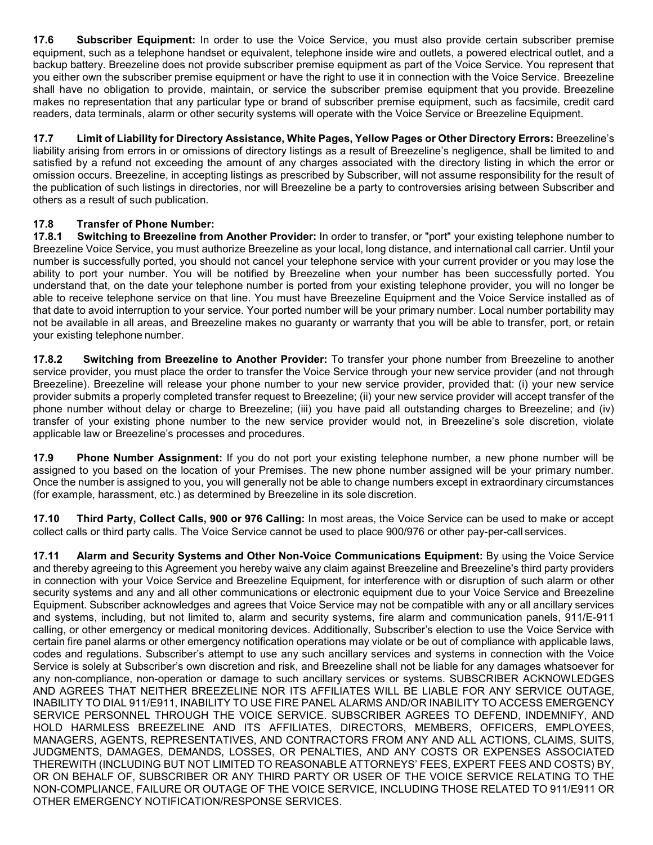**17.6 Subscriber Equipment:** In order to use the Voice Service, you must also provide certain subscriber premise equipment, such as a telephone handset or equivalent, telephone inside wire and outlets, a powered electrical outlet, and a backup battery. Breezeline does not provide subscriber premise equipment as part of the Voice Service. You represent that you either own the subscriber premise equipment or have the right to use it in connection with the Voice Service. Breezeline shall have no obligation to provide, maintain, or service the subscriber premise equipment that you provide. Breezeline makes no representation that any particular type or brand of subscriber premise equipment, such as facsimile, credit card readers, data terminals, alarm or other security systems will operate with the Voice Service or Breezeline Equipment.

**17.7 Limit of Liability for Directory Assistance, White Pages, Yellow Pages or Other Directory Errors:** Breezeline's liability arising from errors in or omissions of directory listings as a result of Breezeline's negligence, shall be limited to and satisfied by a refund not exceeding the amount of any charges associated with the directory listing in which the error or omission occurs. Breezeline, in accepting listings as prescribed by Subscriber, will not assume responsibility for the result of the publication of such listings in directories, nor will Breezeline be a party to controversies arising between Subscriber and others as a result of such publication.

# **17.8 Transfer of Phone Number:**

**17.8.1 Switching to Breezeline from Another Provider:** In order to transfer, or "port" your existing telephone number to Breezeline Voice Service, you must authorize Breezeline as your local, long distance, and international call carrier. Until your number is successfully ported, you should not cancel your telephone service with your current provider or you may lose the ability to port your number. You will be notified by Breezeline when your number has been successfully ported. You understand that, on the date your telephone number is ported from your existing telephone provider, you will no longer be able to receive telephone service on that line. You must have Breezeline Equipment and the Voice Service installed as of that date to avoid interruption to your service. Your ported number will be your primary number. Local number portability may not be available in all areas, and Breezeline makes no guaranty or warranty that you will be able to transfer, port, or retain your existing telephone number.

**17.8.2 Switching from Breezeline to Another Provider:** To transfer your phone number from Breezeline to another service provider, you must place the order to transfer the Voice Service through your new service provider (and not through Breezeline). Breezeline will release your phone number to your new service provider, provided that: (i) your new service provider submits a properly completed transfer request to Breezeline; (ii) your new service provider will accept transfer of the phone number without delay or charge to Breezeline; (iii) you have paid all outstanding charges to Breezeline; and (iv) transfer of your existing phone number to the new service provider would not, in Breezeline's sole discretion, violate applicable law or Breezeline's processes and procedures.

**17.9 Phone Number Assignment:** If you do not port your existing telephone number, a new phone number will be assigned to you based on the location of your Premises. The new phone number assigned will be your primary number. Once the number is assigned to you, you will generally not be able to change numbers except in extraordinary circumstances (for example, harassment, etc.) as determined by Breezeline in its sole discretion.

**17.10 Third Party, Collect Calls, 900 or 976 Calling:** In most areas, the Voice Service can be used to make or accept collect calls or third party calls. The Voice Service cannot be used to place 900/976 or other pay-per-call services.

**17.11 Alarm and Security Systems and Other Non-Voice Communications Equipment:** By using the Voice Service and thereby agreeing to this Agreement you hereby waive any claim against Breezeline and Breezeline's third party providers in connection with your Voice Service and Breezeline Equipment, for interference with or disruption of such alarm or other security systems and any and all other communications or electronic equipment due to your Voice Service and Breezeline Equipment. Subscriber acknowledges and agrees that Voice Service may not be compatible with any or all ancillary services and systems, including, but not limited to, alarm and security systems, fire alarm and communication panels, 911/E-911 calling, or other emergency or medical monitoring devices. Additionally, Subscriber's election to use the Voice Service with certain fire panel alarms or other emergency notification operations may violate or be out of compliance with applicable laws, codes and regulations. Subscriber's attempt to use any such ancillary services and systems in connection with the Voice Service is solely at Subscriber's own discretion and risk, and Breezeline shall not be liable for any damages whatsoever for any non-compliance, non-operation or damage to such ancillary services or systems. SUBSCRIBER ACKNOWLEDGES AND AGREES THAT NEITHER BREEZELINE NOR ITS AFFILIATES WILL BE LIABLE FOR ANY SERVICE OUTAGE, INABILITY TO DIAL 911/E911, INABILITY TO USE FIRE PANEL ALARMS AND/OR INABILITY TO ACCESS EMERGENCY SERVICE PERSONNEL THROUGH THE VOICE SERVICE. SUBSCRIBER AGREES TO DEFEND, INDEMNIFY, AND HOLD HARMLESS BREEZELINE AND ITS AFFILIATES, DIRECTORS, MEMBERS, OFFICERS, EMPLOYEES, MANAGERS, AGENTS, REPRESENTATIVES, AND CONTRACTORS FROM ANY AND ALL ACTIONS, CLAIMS, SUITS, JUDGMENTS, DAMAGES, DEMANDS, LOSSES, OR PENALTIES, AND ANY COSTS OR EXPENSES ASSOCIATED THEREWITH (INCLUDING BUT NOT LIMITED TO REASONABLE ATTORNEYS' FEES, EXPERT FEES AND COSTS) BY, OR ON BEHALF OF, SUBSCRIBER OR ANY THIRD PARTY OR USER OF THE VOICE SERVICE RELATING TO THE NON-COMPLIANCE, FAILURE OR OUTAGE OF THE VOICE SERVICE, INCLUDING THOSE RELATED TO 911/E911 OR OTHER EMERGENCY NOTIFICATION/RESPONSE SERVICES.